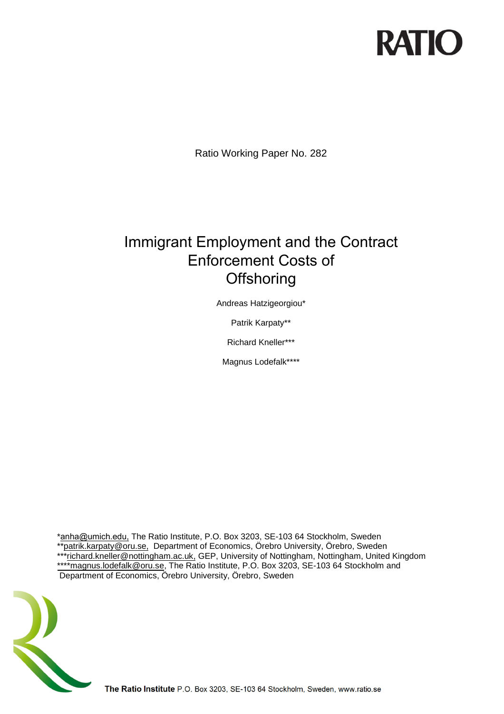# **RATIO**

Ratio Working Paper No. 282

# Immigrant Employment and the Contract Enforcement Costs of **Offshoring**

Andreas Hatzigeorgiou\*

Patrik Karpaty\*\*

Richard Kneller\*\*\*

Magnus Lodefalk\*\*\*\*

\*[anha@umich.edu](mailto:andreas.hatzigeorgiou@ratio.se), The Ratio Institute, P.O. Box 3203, SE-103 64 Stockholm, Sweden [\\*\\*patrik.karpaty@oru.se,](mailto:patrik.karpaty@oru.se) Department of Economics, Örebro University, Örebro, Sweden<br>\*\*\*richard kneller@pottingham.ac.uk.GER University of Nottingham, Nottingham, United \*richard.kneller@nottingham.ac.uk, GEP, University of Nottingham, Nottingham, United Kingdom [\\*\\*\\*\\*magnus.lodefalk@oru.se,](mailto:****magnus.lodefalk@oru.se) The Ratio Institute, P.O. Box 3203, SE-103 64 Stockholm and Department of Economics, Örebro University, Örebro, Sweden

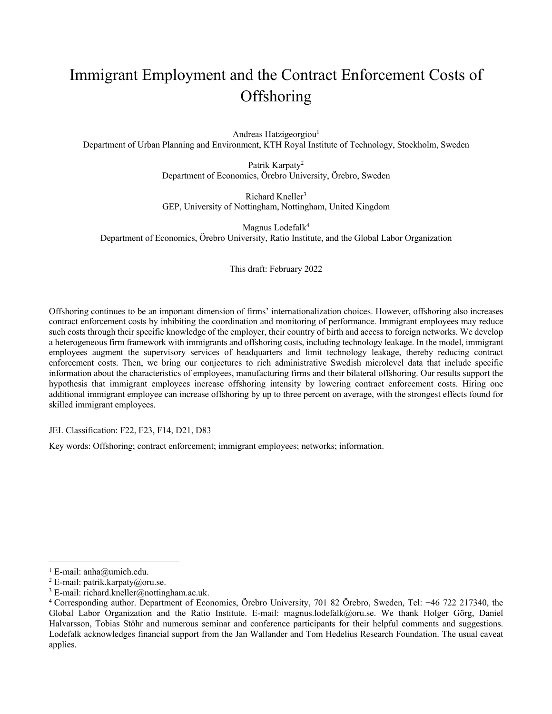# Immigrant Employment and the Contract Enforcement Costs of **Offshoring**

Andreas Hatzigeorgiou<sup>1</sup> Department of Urban Planning and Environment, KTH Royal Institute of Technology, Stockholm, Sweden

> Patrik Karpaty<sup>2</sup> Department of Economics, Örebro University, Örebro, Sweden

> Richard Kneller<sup>3</sup> GEP, University of Nottingham, Nottingham, United Kingdom

Magnus Lodefalk<sup>4</sup> Department of Economics, Örebro University, Ratio Institute, and the Global Labor Organization

This draft: February 2022

Offshoring continues to be an important dimension of firms' internationalization choices. However, offshoring also increases contract enforcement costs by inhibiting the coordination and monitoring of performance. Immigrant employees may reduce such costs through their specific knowledge of the employer, their country of birth and access to foreign networks. We develop a heterogeneous firm framework with immigrants and offshoring costs, including technology leakage. In the model, immigrant employees augment the supervisory services of headquarters and limit technology leakage, thereby reducing contract enforcement costs. Then, we bring our conjectures to rich administrative Swedish microlevel data that include specific information about the characteristics of employees, manufacturing firms and their bilateral offshoring. Our results support the hypothesis that immigrant employees increase offshoring intensity by lowering contract enforcement costs. Hiring one additional immigrant employee can increase offshoring by up to three percent on average, with the strongest effects found for skilled immigrant employees.

JEL Classification: F22, F23, F14, D21, D83

Key words: Offshoring; contract enforcement; immigrant employees; networks; information.

<sup>&</sup>lt;sup>1</sup> E-mail: anha@umich.edu.

<sup>&</sup>lt;sup>2</sup> E-mail: patrik.karpaty@oru.se.

 $3$  E-mail: richard.kneller@nottingham.ac.uk.

<sup>4</sup> Corresponding author. Department of Economics, Örebro University, 701 82 Örebro, Sweden, Tel: +46 722 217340, the Global Labor Organization and the Ratio Institute. E-mail: magnus.lodefalk@oru.se. We thank Holger Görg, Daniel Halvarsson, Tobias Stöhr and numerous seminar and conference participants for their helpful comments and suggestions. Lodefalk acknowledges financial support from the Jan Wallander and Tom Hedelius Research Foundation. The usual caveat applies.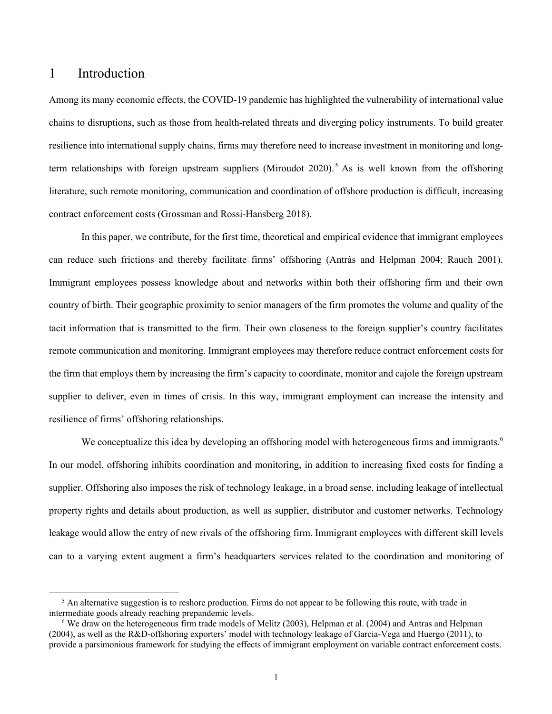### 1 Introduction

Among its many economic effects, the COVID-19 pandemic has highlighted the vulnerability of international value chains to disruptions, such as those from health-related threats and diverging policy instruments. To build greater resilience into international supply chains, firms may therefore need to increase investment in monitoring and longterm relationships with foreign upstream suppliers (Miroudot 2020).<sup>5</sup> As is well known from the offshoring literature, such remote monitoring, communication and coordination of offshore production is difficult, increasing contract enforcement costs (Grossman and Rossi-Hansberg 2018).

In this paper, we contribute, for the first time, theoretical and empirical evidence that immigrant employees can reduce such frictions and thereby facilitate firms' offshoring (Antràs and Helpman 2004; Rauch 2001). Immigrant employees possess knowledge about and networks within both their offshoring firm and their own country of birth. Their geographic proximity to senior managers of the firm promotes the volume and quality of the tacit information that is transmitted to the firm. Their own closeness to the foreign supplier's country facilitates remote communication and monitoring. Immigrant employees may therefore reduce contract enforcement costs for the firm that employs them by increasing the firm's capacity to coordinate, monitor and cajole the foreign upstream supplier to deliver, even in times of crisis. In this way, immigrant employment can increase the intensity and resilience of firms' offshoring relationships.

We conceptualize this idea by developing an offshoring model with heterogeneous firms and immigrants.<sup>6</sup> In our model, offshoring inhibits coordination and monitoring, in addition to increasing fixed costs for finding a supplier. Offshoring also imposes the risk of technology leakage, in a broad sense, including leakage of intellectual property rights and details about production, as well as supplier, distributor and customer networks. Technology leakage would allow the entry of new rivals of the offshoring firm. Immigrant employees with different skill levels can to a varying extent augment a firm's headquarters services related to the coordination and monitoring of

<sup>&</sup>lt;sup>5</sup> An alternative suggestion is to reshore production. Firms do not appear to be following this route, with trade in intermediate goods already reaching prepandemic levels.

<sup>6</sup> We draw on the heterogeneous firm trade models of Melitz (2003), Helpman et al. (2004) and Antras and Helpman (2004), as well as the R&D-offshoring exporters' model with technology leakage of Garcia-Vega and Huergo (2011), to provide a parsimonious framework for studying the effects of immigrant employment on variable contract enforcement costs.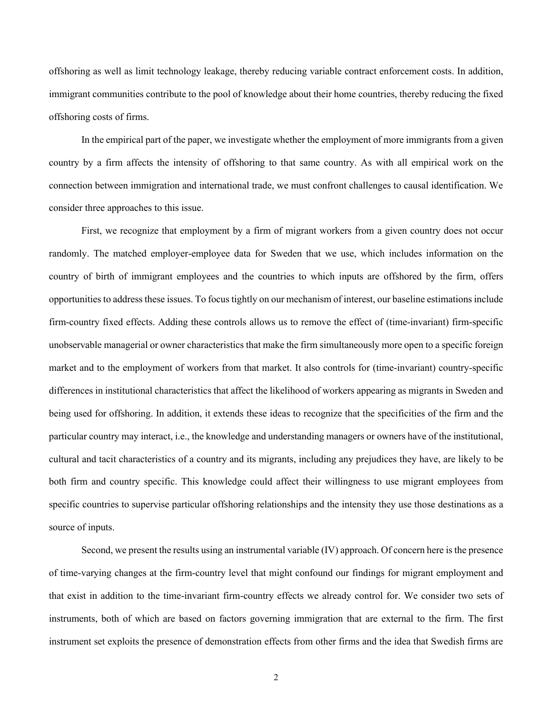offshoring as well as limit technology leakage, thereby reducing variable contract enforcement costs. In addition, immigrant communities contribute to the pool of knowledge about their home countries, thereby reducing the fixed offshoring costs of firms.

In the empirical part of the paper, we investigate whether the employment of more immigrants from a given country by a firm affects the intensity of offshoring to that same country. As with all empirical work on the connection between immigration and international trade, we must confront challenges to causal identification. We consider three approaches to this issue.

First, we recognize that employment by a firm of migrant workers from a given country does not occur randomly. The matched employer-employee data for Sweden that we use, which includes information on the country of birth of immigrant employees and the countries to which inputs are offshored by the firm, offers opportunities to address these issues. To focus tightly on our mechanism of interest, our baseline estimations include firm-country fixed effects. Adding these controls allows us to remove the effect of (time-invariant) firm-specific unobservable managerial or owner characteristics that make the firm simultaneously more open to a specific foreign market and to the employment of workers from that market. It also controls for (time-invariant) country-specific differences in institutional characteristics that affect the likelihood of workers appearing as migrants in Sweden and being used for offshoring. In addition, it extends these ideas to recognize that the specificities of the firm and the particular country may interact, i.e., the knowledge and understanding managers or owners have of the institutional, cultural and tacit characteristics of a country and its migrants, including any prejudices they have, are likely to be both firm and country specific. This knowledge could affect their willingness to use migrant employees from specific countries to supervise particular offshoring relationships and the intensity they use those destinations as a source of inputs.

Second, we present the results using an instrumental variable (IV) approach. Of concern here is the presence of time-varying changes at the firm-country level that might confound our findings for migrant employment and that exist in addition to the time-invariant firm-country effects we already control for. We consider two sets of instruments, both of which are based on factors governing immigration that are external to the firm. The first instrument set exploits the presence of demonstration effects from other firms and the idea that Swedish firms are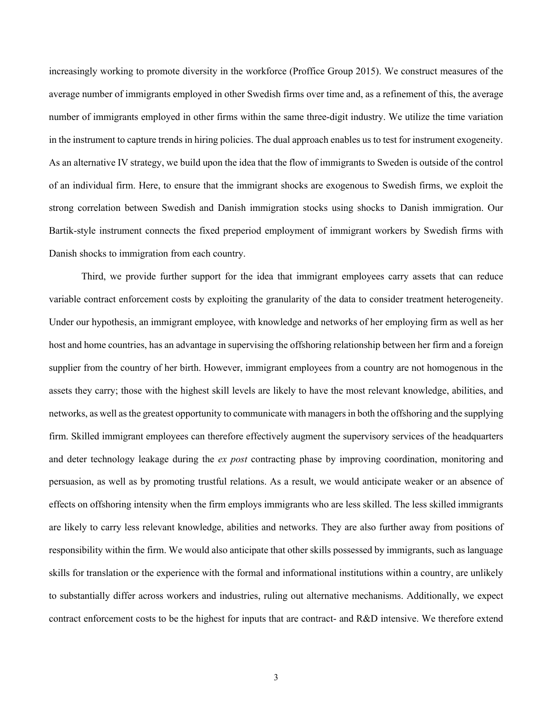increasingly working to promote diversity in the workforce (Proffice Group 2015). We construct measures of the average number of immigrants employed in other Swedish firms over time and, as a refinement of this, the average number of immigrants employed in other firms within the same three-digit industry. We utilize the time variation in the instrument to capture trends in hiring policies. The dual approach enables us to test for instrument exogeneity. As an alternative IV strategy, we build upon the idea that the flow of immigrants to Sweden is outside of the control of an individual firm. Here, to ensure that the immigrant shocks are exogenous to Swedish firms, we exploit the strong correlation between Swedish and Danish immigration stocks using shocks to Danish immigration. Our Bartik-style instrument connects the fixed preperiod employment of immigrant workers by Swedish firms with Danish shocks to immigration from each country.

Third, we provide further support for the idea that immigrant employees carry assets that can reduce variable contract enforcement costs by exploiting the granularity of the data to consider treatment heterogeneity. Under our hypothesis, an immigrant employee, with knowledge and networks of her employing firm as well as her host and home countries, has an advantage in supervising the offshoring relationship between her firm and a foreign supplier from the country of her birth. However, immigrant employees from a country are not homogenous in the assets they carry; those with the highest skill levels are likely to have the most relevant knowledge, abilities, and networks, as well as the greatest opportunity to communicate with managers in both the offshoring and the supplying firm. Skilled immigrant employees can therefore effectively augment the supervisory services of the headquarters and deter technology leakage during the *ex post* contracting phase by improving coordination, monitoring and persuasion, as well as by promoting trustful relations. As a result, we would anticipate weaker or an absence of effects on offshoring intensity when the firm employs immigrants who are less skilled. The less skilled immigrants are likely to carry less relevant knowledge, abilities and networks. They are also further away from positions of responsibility within the firm. We would also anticipate that other skills possessed by immigrants, such as language skills for translation or the experience with the formal and informational institutions within a country, are unlikely to substantially differ across workers and industries, ruling out alternative mechanisms. Additionally, we expect contract enforcement costs to be the highest for inputs that are contract- and R&D intensive. We therefore extend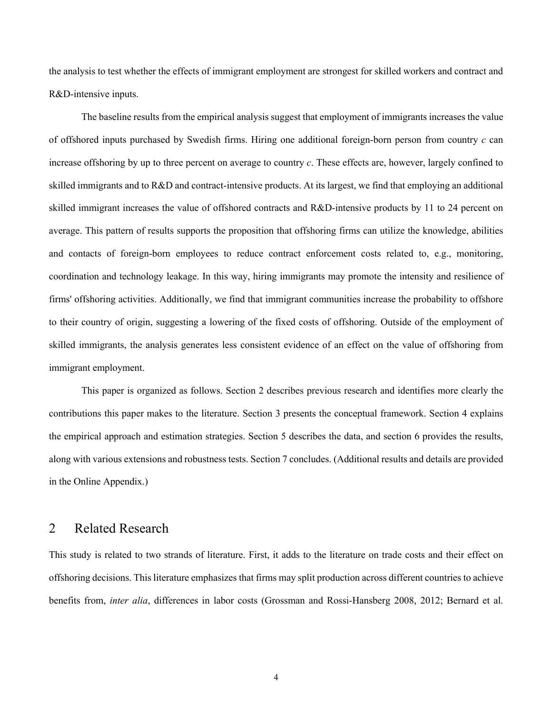the analysis to test whether the effects of immigrant employment are strongest for skilled workers and contract and R&D-intensive inputs.

The baseline results from the empirical analysis suggest that employment of immigrants increases the value of offshored inputs purchased by Swedish firms. Hiring one additional foreign-born person from country *c* can increase offshoring by up to three percent on average to country *c*. These effects are, however, largely confined to skilled immigrants and to R&D and contract-intensive products. At its largest, we find that employing an additional skilled immigrant increases the value of offshored contracts and R&D-intensive products by 11 to 24 percent on average. This pattern of results supports the proposition that offshoring firms can utilize the knowledge, abilities and contacts of foreign-born employees to reduce contract enforcement costs related to, e.g., monitoring, coordination and technology leakage. In this way, hiring immigrants may promote the intensity and resilience of firms' offshoring activities. Additionally, we find that immigrant communities increase the probability to offshore to their country of origin, suggesting a lowering of the fixed costs of offshoring. Outside of the employment of skilled immigrants, the analysis generates less consistent evidence of an effect on the value of offshoring from immigrant employment.

This paper is organized as follows. Section 2 describes previous research and identifies more clearly the contributions this paper makes to the literature. Section 3 presents the conceptual framework. Section 4 explains the empirical approach and estimation strategies. Section 5 describes the data, and section 6 provides the results, along with various extensions and robustness tests. Section 7 concludes. (Additional results and details are provided in the Online Appendix.)

## 2 Related Research

This study is related to two strands of literature. First, it adds to the literature on trade costs and their effect on offshoring decisions. This literature emphasizes that firms may split production across different countries to achieve benefits from, *inter alia*, differences in labor costs (Grossman and Rossi-Hansberg 2008, 2012; Bernard et al.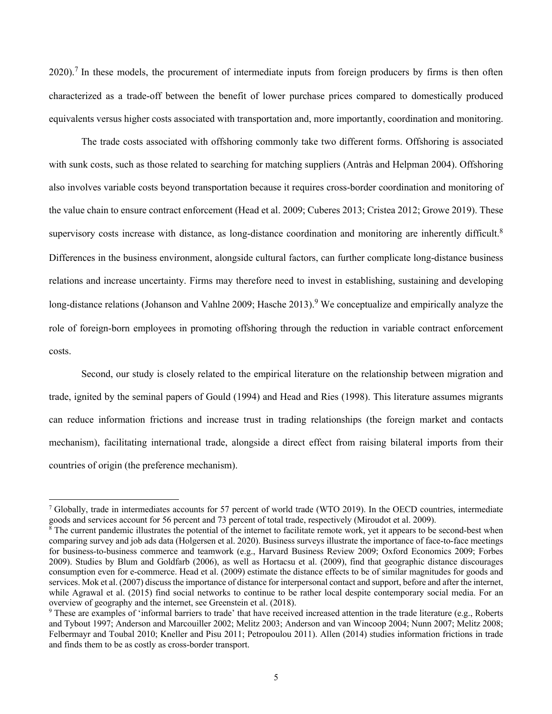$2020$ .<sup>7</sup> In these models, the procurement of intermediate inputs from foreign producers by firms is then often characterized as a trade-off between the benefit of lower purchase prices compared to domestically produced equivalents versus higher costs associated with transportation and, more importantly, coordination and monitoring.

The trade costs associated with offshoring commonly take two different forms. Offshoring is associated with sunk costs, such as those related to searching for matching suppliers (Antràs and Helpman 2004). Offshoring also involves variable costs beyond transportation because it requires cross-border coordination and monitoring of the value chain to ensure contract enforcement (Head et al. 2009; Cuberes 2013; Cristea 2012; Growe 2019). These supervisory costs increase with distance, as long-distance coordination and monitoring are inherently difficult.<sup>8</sup> Differences in the business environment, alongside cultural factors, can further complicate long-distance business relations and increase uncertainty. Firms may therefore need to invest in establishing, sustaining and developing long-distance relations (Johanson and Vahlne 2009; Hasche 2013).<sup>9</sup> We conceptualize and empirically analyze the role of foreign-born employees in promoting offshoring through the reduction in variable contract enforcement costs.

Second, our study is closely related to the empirical literature on the relationship between migration and trade, ignited by the seminal papers of Gould (1994) and Head and Ries (1998). This literature assumes migrants can reduce information frictions and increase trust in trading relationships (the foreign market and contacts mechanism), facilitating international trade, alongside a direct effect from raising bilateral imports from their countries of origin (the preference mechanism).

<sup>7</sup> Globally, trade in intermediates accounts for 57 percent of world trade (WTO 2019). In the OECD countries, intermediate goods and services account for 56 percent and 73 percent of total trade, respectively (Miroudot et al. 2009).

 $8$  The current pandemic illustrates the potential of the internet to facilitate remote work, yet it appears to be second-best when comparing survey and job ads data (Holgersen et al. 2020). Business surveys illustrate the importance of face-to-face meetings for business-to-business commerce and teamwork (e.g., Harvard Business Review 2009; Oxford Economics 2009; Forbes 2009). Studies by Blum and Goldfarb (2006), as well as Hortacsu et al. (2009), find that geographic distance discourages consumption even for e-commerce. Head et al. (2009) estimate the distance effects to be of similar magnitudes for goods and services. Mok et al. (2007) discuss the importance of distance for interpersonal contact and support, before and after the internet, while Agrawal et al. (2015) find social networks to continue to be rather local despite contemporary social media. For an overview of geography and the internet, see Greenstein et al. (2018).

<sup>9</sup> These are examples of 'informal barriers to trade' that have received increased attention in the trade literature (e.g., Roberts and Tybout 1997; Anderson and Marcouiller 2002; Melitz 2003; Anderson and van Wincoop 2004; Nunn 2007; Melitz 2008; Felbermayr and Toubal 2010; Kneller and Pisu 2011; Petropoulou 2011). Allen (2014) studies information frictions in trade and finds them to be as costly as cross-border transport.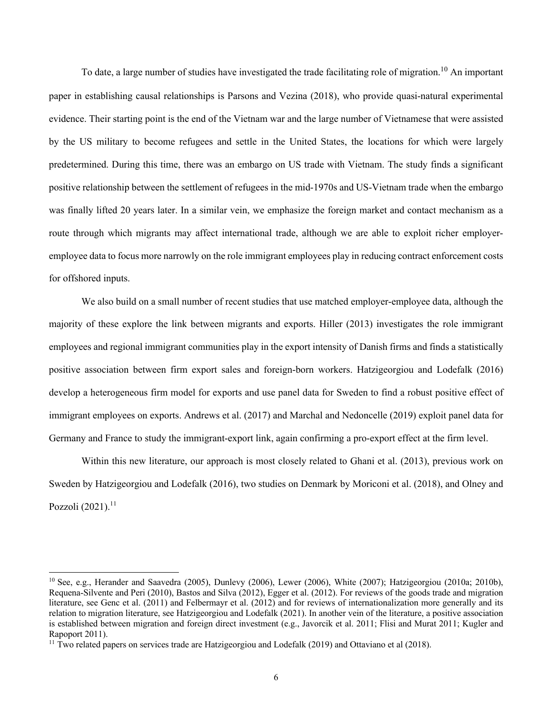To date, a large number of studies have investigated the trade facilitating role of migration.<sup>10</sup> An important paper in establishing causal relationships is Parsons and Vezina (2018), who provide quasi-natural experimental evidence. Their starting point is the end of the Vietnam war and the large number of Vietnamese that were assisted by the US military to become refugees and settle in the United States, the locations for which were largely predetermined. During this time, there was an embargo on US trade with Vietnam. The study finds a significant positive relationship between the settlement of refugees in the mid-1970s and US-Vietnam trade when the embargo was finally lifted 20 years later. In a similar vein, we emphasize the foreign market and contact mechanism as a route through which migrants may affect international trade, although we are able to exploit richer employeremployee data to focus more narrowly on the role immigrant employees play in reducing contract enforcement costs for offshored inputs.

We also build on a small number of recent studies that use matched employer-employee data, although the majority of these explore the link between migrants and exports. Hiller (2013) investigates the role immigrant employees and regional immigrant communities play in the export intensity of Danish firms and finds a statistically positive association between firm export sales and foreign-born workers. Hatzigeorgiou and Lodefalk (2016) develop a heterogeneous firm model for exports and use panel data for Sweden to find a robust positive effect of immigrant employees on exports. Andrews et al. (2017) and Marchal and Nedoncelle (2019) exploit panel data for Germany and France to study the immigrant-export link, again confirming a pro-export effect at the firm level.

Within this new literature, our approach is most closely related to Ghani et al. (2013), previous work on Sweden by Hatzigeorgiou and Lodefalk (2016), two studies on Denmark by Moriconi et al. (2018), and Olney and Pozzoli  $(2021).$ <sup>11</sup>

<sup>10</sup> See, e.g., Herander and Saavedra (2005), Dunlevy (2006), Lewer (2006), White (2007); Hatzigeorgiou (2010a; 2010b), Requena-Silvente and Peri (2010), Bastos and Silva (2012), Egger et al. (2012). For reviews of the goods trade and migration literature, see Genc et al. (2011) and Felbermayr et al. (2012) and for reviews of internationalization more generally and its relation to migration literature, see Hatzigeorgiou and Lodefalk (2021). In another vein of the literature, a positive association is established between migration and foreign direct investment (e.g., Javorcik et al. 2011; Flisi and Murat 2011; Kugler and Rapoport 2011).

 $11$  Two related papers on services trade are Hatzigeorgiou and Lodefalk (2019) and Ottaviano et al (2018).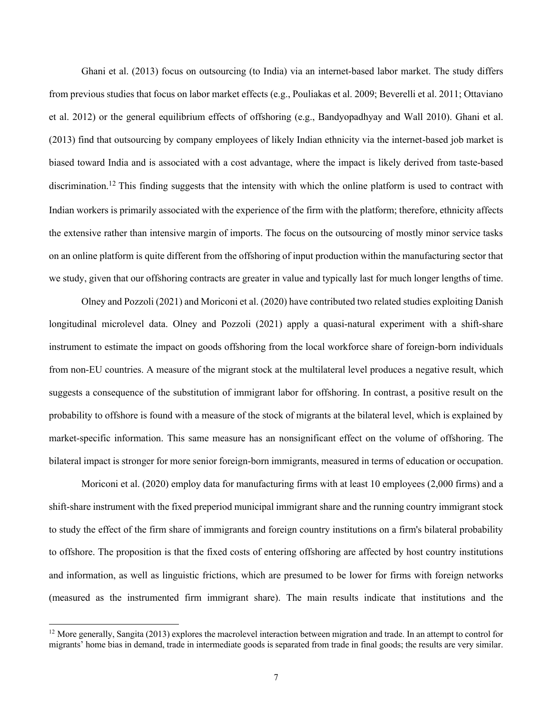Ghani et al. (2013) focus on outsourcing (to India) via an internet-based labor market. The study differs from previous studies that focus on labor market effects (e.g., Pouliakas et al. 2009; Beverelli et al. 2011; Ottaviano et al. 2012) or the general equilibrium effects of offshoring (e.g., Bandyopadhyay and Wall 2010). Ghani et al. (2013) find that outsourcing by company employees of likely Indian ethnicity via the internet-based job market is biased toward India and is associated with a cost advantage, where the impact is likely derived from taste-based discrimination.<sup>12</sup> This finding suggests that the intensity with which the online platform is used to contract with Indian workers is primarily associated with the experience of the firm with the platform; therefore, ethnicity affects the extensive rather than intensive margin of imports. The focus on the outsourcing of mostly minor service tasks on an online platform is quite different from the offshoring of input production within the manufacturing sector that we study, given that our offshoring contracts are greater in value and typically last for much longer lengths of time.

Olney and Pozzoli (2021) and Moriconi et al. (2020) have contributed two related studies exploiting Danish longitudinal microlevel data. Olney and Pozzoli (2021) apply a quasi-natural experiment with a shift-share instrument to estimate the impact on goods offshoring from the local workforce share of foreign-born individuals from non-EU countries. A measure of the migrant stock at the multilateral level produces a negative result, which suggests a consequence of the substitution of immigrant labor for offshoring. In contrast, a positive result on the probability to offshore is found with a measure of the stock of migrants at the bilateral level, which is explained by market-specific information. This same measure has an nonsignificant effect on the volume of offshoring. The bilateral impact is stronger for more senior foreign-born immigrants, measured in terms of education or occupation.

Moriconi et al. (2020) employ data for manufacturing firms with at least 10 employees (2,000 firms) and a shift-share instrument with the fixed preperiod municipal immigrant share and the running country immigrant stock to study the effect of the firm share of immigrants and foreign country institutions on a firm's bilateral probability to offshore. The proposition is that the fixed costs of entering offshoring are affected by host country institutions and information, as well as linguistic frictions, which are presumed to be lower for firms with foreign networks (measured as the instrumented firm immigrant share). The main results indicate that institutions and the

<sup>&</sup>lt;sup>12</sup> More generally, Sangita (2013) explores the macrolevel interaction between migration and trade. In an attempt to control for migrants' home bias in demand, trade in intermediate goods is separated from trade in final goods; the results are very similar.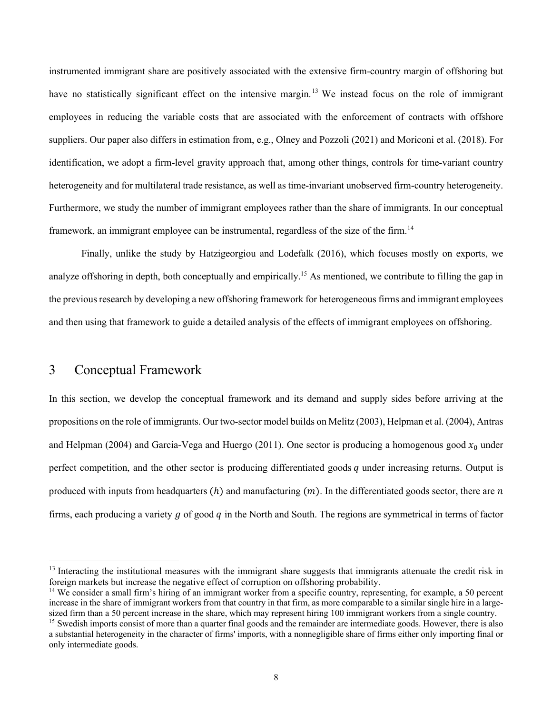instrumented immigrant share are positively associated with the extensive firm-country margin of offshoring but have no statistically significant effect on the intensive margin.<sup>13</sup> We instead focus on the role of immigrant employees in reducing the variable costs that are associated with the enforcement of contracts with offshore suppliers. Our paper also differs in estimation from, e.g., Olney and Pozzoli (2021) and Moriconi et al. (2018). For identification, we adopt a firm-level gravity approach that, among other things, controls for time-variant country heterogeneity and for multilateral trade resistance, as well as time-invariant unobserved firm-country heterogeneity. Furthermore, we study the number of immigrant employees rather than the share of immigrants. In our conceptual framework, an immigrant employee can be instrumental, regardless of the size of the firm.<sup>14</sup>

Finally, unlike the study by Hatzigeorgiou and Lodefalk (2016), which focuses mostly on exports, we analyze offshoring in depth, both conceptually and empirically.<sup>15</sup> As mentioned, we contribute to filling the gap in the previous research by developing a new offshoring framework for heterogeneous firms and immigrant employees and then using that framework to guide a detailed analysis of the effects of immigrant employees on offshoring.

# 3 Conceptual Framework

In this section, we develop the conceptual framework and its demand and supply sides before arriving at the propositions on the role of immigrants. Our two-sector model builds on Melitz (2003), Helpman et al. (2004), Antras and Helpman (2004) and Garcia-Vega and Huergo (2011). One sector is producing a homogenous good  $x_0$  under perfect competition, and the other sector is producing differentiated goods  $q$  under increasing returns. Output is produced with inputs from headquarters  $(h)$  and manufacturing  $(m)$ . In the differentiated goods sector, there are  $n$ firms, each producing a variety  $q$  of good  $q$  in the North and South. The regions are symmetrical in terms of factor

 $<sup>13</sup>$  Interacting the institutional measures with the immigrant share suggests that immigrants attenuate the credit risk in</sup> foreign markets but increase the negative effect of corruption on offshoring probability.

<sup>&</sup>lt;sup>14</sup> We consider a small firm's hiring of an immigrant worker from a specific country, representing, for example, a 50 percent increase in the share of immigrant workers from that country in that firm, as more comparable to a similar single hire in a largesized firm than a 50 percent increase in the share, which may represent hiring 100 immigrant workers from a single country.

<sup>&</sup>lt;sup>15</sup> Swedish imports consist of more than a quarter final goods and the remainder are intermediate goods. However, there is also a substantial heterogeneity in the character of firms' imports, with a nonnegligible share of firms either only importing final or only intermediate goods.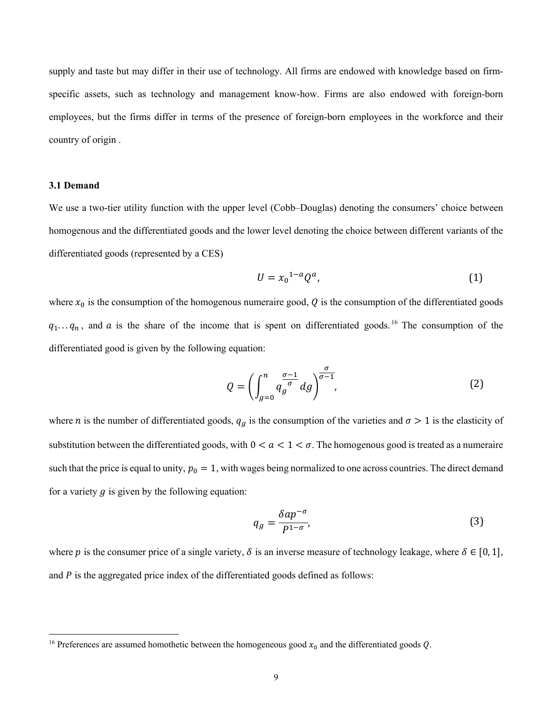supply and taste but may differ in their use of technology. All firms are endowed with knowledge based on firmspecific assets, such as technology and management know-how. Firms are also endowed with foreign-born employees, but the firms differ in terms of the presence of foreign-born employees in the workforce and their country of origin .

#### **3.1 Demand**

We use a two-tier utility function with the upper level (Cobb–Douglas) denoting the consumers' choice between homogenous and the differentiated goods and the lower level denoting the choice between different variants of the differentiated goods (represented by a CES)

$$
U = x_0^{1-a} Q^a,\tag{1}
$$

where  $x_0$  is the consumption of the homogenous numeraire good, Q is the consumption of the differentiated goods  $q_1...q_n$ , and a is the share of the income that is spent on differentiated goods. <sup>16</sup> The consumption of the differentiated good is given by the following equation:

$$
Q = \left(\int_{g=0}^{n} q_g^{\frac{\sigma-1}{\sigma}} dg\right)^{\frac{\sigma}{\sigma-1}},\tag{2}
$$

where *n* is the number of differentiated goods,  $q_g$  is the consumption of the varieties and  $\sigma > 1$  is the elasticity of substitution between the differentiated goods, with  $0 < a < 1 < \sigma$ . The homogenous good is treated as a numeraire such that the price is equal to unity,  $p_0 = 1$ , with wages being normalized to one across countries. The direct demand for a variety  $q$  is given by the following equation:

$$
q_g = \frac{\delta a p^{-\sigma}}{P^{1-\sigma}},\tag{3}
$$

where p is the consumer price of a single variety,  $\delta$  is an inverse measure of technology leakage, where  $\delta \in [0, 1]$ , and  $P$  is the aggregated price index of the differentiated goods defined as follows:

<sup>&</sup>lt;sup>16</sup> Preferences are assumed homothetic between the homogeneous good  $x_0$  and the differentiated goods Q.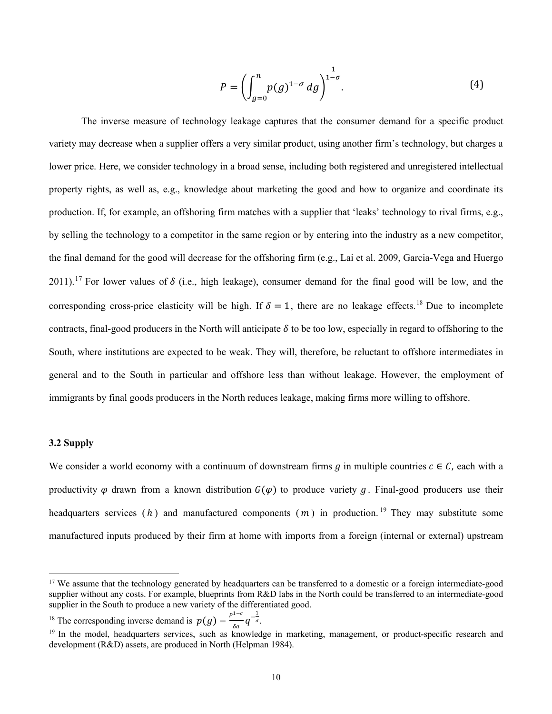$$
P = \left( \int_{g=0}^{n} p(g)^{1-\sigma} \, dg \right)^{\frac{1}{1-\sigma}}.
$$
 (4)

The inverse measure of technology leakage captures that the consumer demand for a specific product variety may decrease when a supplier offers a very similar product, using another firm's technology, but charges a lower price. Here, we consider technology in a broad sense, including both registered and unregistered intellectual property rights, as well as, e.g., knowledge about marketing the good and how to organize and coordinate its production. If, for example, an offshoring firm matches with a supplier that 'leaks' technology to rival firms, e.g., by selling the technology to a competitor in the same region or by entering into the industry as a new competitor, the final demand for the good will decrease for the offshoring firm (e.g., Lai et al. 2009, Garcia-Vega and Huergo 2011).<sup>17</sup> For lower values of  $\delta$  (i.e., high leakage), consumer demand for the final good will be low, and the corresponding cross-price elasticity will be high. If  $\delta = 1$ , there are no leakage effects.<sup>18</sup> Due to incomplete contracts, final-good producers in the North will anticipate  $\delta$  to be too low, especially in regard to offshoring to the South, where institutions are expected to be weak. They will, therefore, be reluctant to offshore intermediates in general and to the South in particular and offshore less than without leakage. However, the employment of immigrants by final goods producers in the North reduces leakage, making firms more willing to offshore.

#### **3.2 Supply**

We consider a world economy with a continuum of downstream firms  $g$  in multiple countries  $c \in C$ , each with a productivity  $\varphi$  drawn from a known distribution  $G(\varphi)$  to produce variety  $g$ . Final-good producers use their headquarters services ( $h$ ) and manufactured components ( $m$ ) in production.<sup>19</sup> They may substitute some manufactured inputs produced by their firm at home with imports from a foreign (internal or external) upstream

<sup>18</sup> The corresponding inverse demand is  $p(g) = \frac{p^{1-\sigma}}{\delta a} q^{-\frac{1}{\sigma}}$ .

<sup>&</sup>lt;sup>17</sup> We assume that the technology generated by headquarters can be transferred to a domestic or a foreign intermediate-good supplier without any costs. For example, blueprints from R&D labs in the North could be transferred to an intermediate-good supplier in the South to produce a new variety of the differentiated good.

<sup>&</sup>lt;sup>19</sup> In the model, headquarters services, such as knowledge in marketing, management, or product-specific research and development (R&D) assets, are produced in North (Helpman 1984).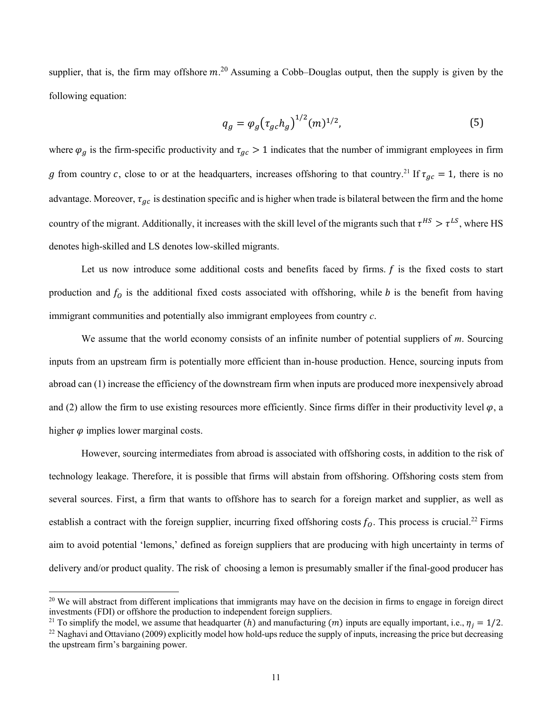supplier, that is, the firm may offshore  $m^{20}$  Assuming a Cobb–Douglas output, then the supply is given by the following equation:

$$
q_g = \varphi_g \big( \tau_{gc} h_g \big)^{1/2} (m)^{1/2}, \tag{5}
$$

where  $\varphi_a$  is the firm-specific productivity and  $\tau_{ac} > 1$  indicates that the number of immigrant employees in firm g from country c, close to or at the headquarters, increases offshoring to that country.<sup>21</sup> If  $\tau_{ac} = 1$ , there is no advantage. Moreover,  $\tau_{gc}$  is destination specific and is higher when trade is bilateral between the firm and the home country of the migrant. Additionally, it increases with the skill level of the migrants such that  $\tau^{HS} > \tau^{LS}$ , where HS denotes high-skilled and LS denotes low-skilled migrants.

Let us now introduce some additional costs and benefits faced by firms.  $f$  is the fixed costs to start production and  $f_0$  is the additional fixed costs associated with offshoring, while  $b$  is the benefit from having immigrant communities and potentially also immigrant employees from country *c*.

We assume that the world economy consists of an infinite number of potential suppliers of *m*. Sourcing inputs from an upstream firm is potentially more efficient than in-house production. Hence, sourcing inputs from abroad can (1) increase the efficiency of the downstream firm when inputs are produced more inexpensively abroad and (2) allow the firm to use existing resources more efficiently. Since firms differ in their productivity level  $\varphi$ , a higher  $\varphi$  implies lower marginal costs.

However, sourcing intermediates from abroad is associated with offshoring costs, in addition to the risk of technology leakage. Therefore, it is possible that firms will abstain from offshoring. Offshoring costs stem from several sources. First, a firm that wants to offshore has to search for a foreign market and supplier, as well as establish a contract with the foreign supplier, incurring fixed offshoring costs  $f_0$ . This process is crucial.<sup>22</sup> Firms aim to avoid potential 'lemons,' defined as foreign suppliers that are producing with high uncertainty in terms of delivery and/or product quality. The risk of choosing a lemon is presumably smaller if the final-good producer has

<sup>&</sup>lt;sup>20</sup> We will abstract from different implications that immigrants may have on the decision in firms to engage in foreign direct investments (FDI) or offshore the production to independent foreign suppliers.

<sup>&</sup>lt;sup>21</sup> To simplify the model, we assume that headquarter (h) and manufacturing (m) inputs are equally important, i.e.,  $\eta_i = 1/2$ .

<sup>&</sup>lt;sup>22</sup> Naghavi and Ottaviano (2009) explicitly model how hold-ups reduce the supply of inputs, increasing the price but decreasing the upstream firm's bargaining power.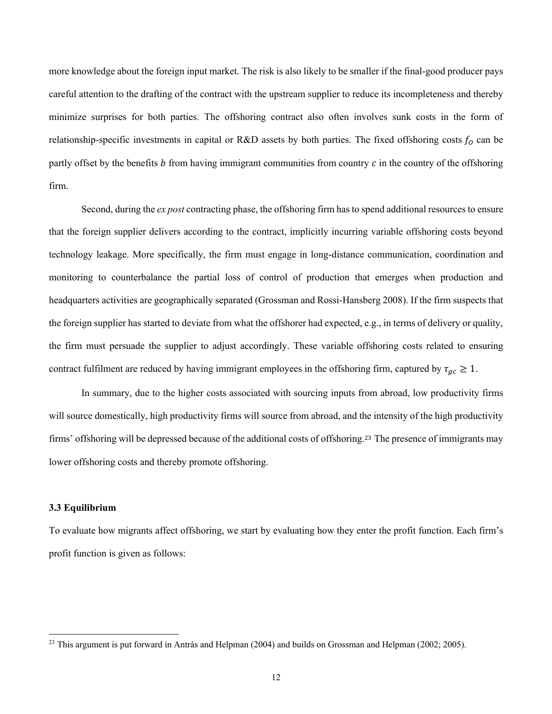more knowledge about the foreign input market. The risk is also likely to be smaller if the final-good producer pays careful attention to the drafting of the contract with the upstream supplier to reduce its incompleteness and thereby minimize surprises for both parties. The offshoring contract also often involves sunk costs in the form of relationship-specific investments in capital or R&D assets by both parties. The fixed offshoring costs  $f_0$  can be partly offset by the benefits  $\hat{b}$  from having immigrant communities from country  $\hat{c}$  in the country of the offshoring firm.

Second, during the *ex post* contracting phase, the offshoring firm has to spend additional resources to ensure that the foreign supplier delivers according to the contract, implicitly incurring variable offshoring costs beyond technology leakage. More specifically, the firm must engage in long-distance communication, coordination and monitoring to counterbalance the partial loss of control of production that emerges when production and headquarters activities are geographically separated (Grossman and Rossi-Hansberg 2008). If the firm suspects that the foreign supplier has started to deviate from what the offshorer had expected, e.g., in terms of delivery or quality, the firm must persuade the supplier to adjust accordingly. These variable offshoring costs related to ensuring contract fulfilment are reduced by having immigrant employees in the offshoring firm, captured by  $\tau_{gc} \ge 1$ .

In summary, due to the higher costs associated with sourcing inputs from abroad, low productivity firms will source domestically, high productivity firms will source from abroad, and the intensity of the high productivity firms' offshoring will be depressed because of the additional costs of offshoring.<sup>23</sup> The presence of immigrants may lower offshoring costs and thereby promote offshoring.

#### **3.3 Equilibrium**

To evaluate how migrants affect offshoring, we start by evaluating how they enter the profit function. Each firm's profit function is given as follows:

<sup>&</sup>lt;sup>23</sup> This argument is put forward in Antràs and Helpman (2004) and builds on Grossman and Helpman (2002; 2005).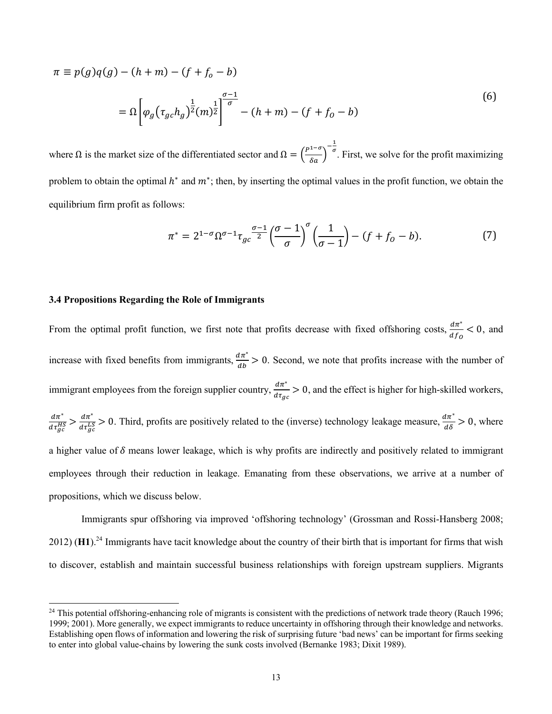$$
\pi \equiv p(g)q(g) - (h+m) - (f+f_o - b)
$$
  
=  $\Omega \left[ \varphi_g \left( \tau_{gc} h_g \right)^{\frac{1}{2}} (m)^{\frac{1}{2}} \right]^{\frac{\sigma-1}{\sigma}} - (h+m) - (f+f_o - b)$  (6)

where  $\Omega$  is the market size of the differentiated sector and  $\Omega = \left(\frac{P^{1-\sigma}}{\delta a}\right)$  $-\frac{1}{\sigma}$ . First, we solve for the profit maximizing problem to obtain the optimal  $h^*$  and  $m^*$ ; then, by inserting the optimal values in the profit function, we obtain the equilibrium firm profit as follows:

$$
\pi^* = 2^{1-\sigma} \Omega^{\sigma-1} \tau_{gc} \frac{\sigma-1}{2} \left(\frac{\sigma-1}{\sigma}\right)^{\sigma} \left(\frac{1}{\sigma-1}\right) - (f+f_0-b). \tag{7}
$$

#### **3.4 Propositions Regarding the Role of Immigrants**

From the optimal profit function, we first note that profits decrease with fixed offshoring costs,  $\frac{d\pi^*}{df_0} < 0$ , and increase with fixed benefits from immigrants,  $\frac{d\pi^*}{db} > 0$ . Second, we note that profits increase with the number of immigrant employees from the foreign supplier country,  $\frac{d\pi^*}{dt_{gc}} > 0$ , and the effect is higher for high-skilled workers,  $d\pi^*$  $\frac{d\pi^*}{d\tau_{gc}^{HS}} > \frac{d\pi^*}{d\tau_{gc}^{LS}} > 0$ . Third, profits are positively related to the (inverse) technology leakage measure,  $\frac{d\pi^*}{d\delta} > 0$ , where a higher value of  $\delta$  means lower leakage, which is why profits are indirectly and positively related to immigrant employees through their reduction in leakage. Emanating from these observations, we arrive at a number of propositions, which we discuss below.

Immigrants spur offshoring via improved 'offshoring technology' (Grossman and Rossi-Hansberg 2008; 2012) (**H1**).<sup>24</sup> Immigrants have tacit knowledge about the country of their birth that is important for firms that wish to discover, establish and maintain successful business relationships with foreign upstream suppliers. Migrants

 $^{24}$  This potential offshoring-enhancing role of migrants is consistent with the predictions of network trade theory (Rauch 1996; 1999; 2001). More generally, we expect immigrants to reduce uncertainty in offshoring through their knowledge and networks. Establishing open flows of information and lowering the risk of surprising future 'bad news' can be important for firms seeking to enter into global value-chains by lowering the sunk costs involved (Bernanke 1983; Dixit 1989).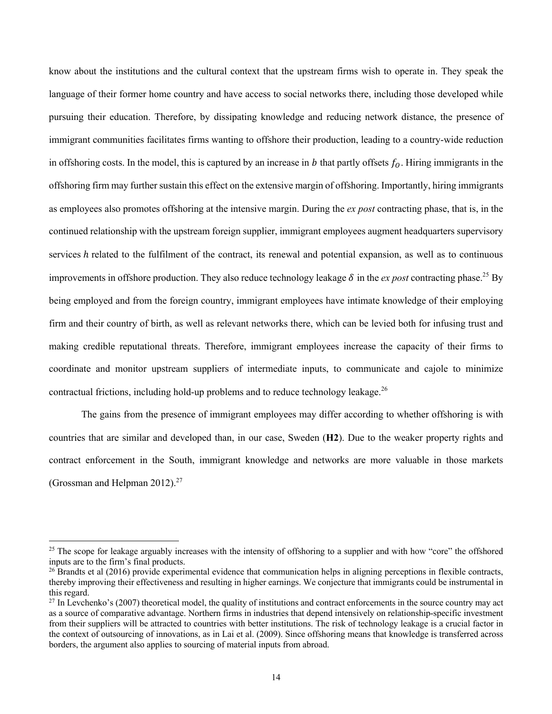know about the institutions and the cultural context that the upstream firms wish to operate in. They speak the language of their former home country and have access to social networks there, including those developed while pursuing their education. Therefore, by dissipating knowledge and reducing network distance, the presence of immigrant communities facilitates firms wanting to offshore their production, leading to a country-wide reduction in offshoring costs. In the model, this is captured by an increase in b that partly offsets  $f_0$ . Hiring immigrants in the offshoring firm may further sustain this effect on the extensive margin of offshoring. Importantly, hiring immigrants as employees also promotes offshoring at the intensive margin. During the *ex post* contracting phase, that is, in the continued relationship with the upstream foreign supplier, immigrant employees augment headquarters supervisory services  $h$  related to the fulfilment of the contract, its renewal and potential expansion, as well as to continuous improvements in offshore production. They also reduce technology leakage  $\delta$  in the *ex post* contracting phase.<sup>25</sup> By being employed and from the foreign country, immigrant employees have intimate knowledge of their employing firm and their country of birth, as well as relevant networks there, which can be levied both for infusing trust and making credible reputational threats. Therefore, immigrant employees increase the capacity of their firms to coordinate and monitor upstream suppliers of intermediate inputs, to communicate and cajole to minimize contractual frictions, including hold-up problems and to reduce technology leakage.<sup>26</sup>

The gains from the presence of immigrant employees may differ according to whether offshoring is with countries that are similar and developed than, in our case, Sweden (**H2**). Due to the weaker property rights and contract enforcement in the South, immigrant knowledge and networks are more valuable in those markets (Grossman and Helpman  $2012$ ).<sup>27</sup>

<sup>&</sup>lt;sup>25</sup> The scope for leakage arguably increases with the intensity of offshoring to a supplier and with how "core" the offshored inputs are to the firm's final products.

 $26$  Brandts et al (2016) provide experimental evidence that communication helps in aligning perceptions in flexible contracts, thereby improving their effectiveness and resulting in higher earnings. We conjecture that immigrants could be instrumental in this regard.

 $^{27}$  In Levchenko's (2007) theoretical model, the quality of institutions and contract enforcements in the source country may act as a source of comparative advantage. Northern firms in industries that depend intensively on relationship-specific investment from their suppliers will be attracted to countries with better institutions. The risk of technology leakage is a crucial factor in the context of outsourcing of innovations, as in Lai et al. (2009). Since offshoring means that knowledge is transferred across borders, the argument also applies to sourcing of material inputs from abroad.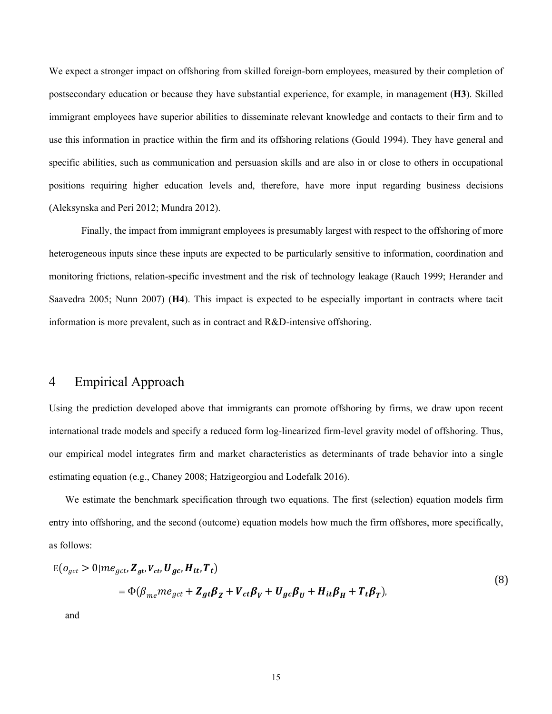We expect a stronger impact on offshoring from skilled foreign-born employees, measured by their completion of postsecondary education or because they have substantial experience, for example, in management (**H3**). Skilled immigrant employees have superior abilities to disseminate relevant knowledge and contacts to their firm and to use this information in practice within the firm and its offshoring relations (Gould 1994). They have general and specific abilities, such as communication and persuasion skills and are also in or close to others in occupational positions requiring higher education levels and, therefore, have more input regarding business decisions (Aleksynska and Peri 2012; Mundra 2012).

Finally, the impact from immigrant employees is presumably largest with respect to the offshoring of more heterogeneous inputs since these inputs are expected to be particularly sensitive to information, coordination and monitoring frictions, relation-specific investment and the risk of technology leakage (Rauch 1999; Herander and Saavedra 2005; Nunn 2007) (**H4**). This impact is expected to be especially important in contracts where tacit information is more prevalent, such as in contract and R&D-intensive offshoring.

## 4 Empirical Approach

Using the prediction developed above that immigrants can promote offshoring by firms, we draw upon recent international trade models and specify a reduced form log-linearized firm-level gravity model of offshoring. Thus, our empirical model integrates firm and market characteristics as determinants of trade behavior into a single estimating equation (e.g., Chaney 2008; Hatzigeorgiou and Lodefalk 2016).

We estimate the benchmark specification through two equations. The first (selection) equation models firm entry into offshoring, and the second (outcome) equation models how much the firm offshores, more specifically, as follows:

$$
E(o_{gct} > 0 | me_{gct}, Z_{gt}, V_{ct}, U_{gc}, H_{it}, T_t)
$$
  
=  $\Phi(\beta_{me} me_{gct} + Z_{gt}\beta_Z + V_{ct}\beta_V + U_{gc}\beta_U + H_{it}\beta_H + T_t\beta_T),$  (8)

and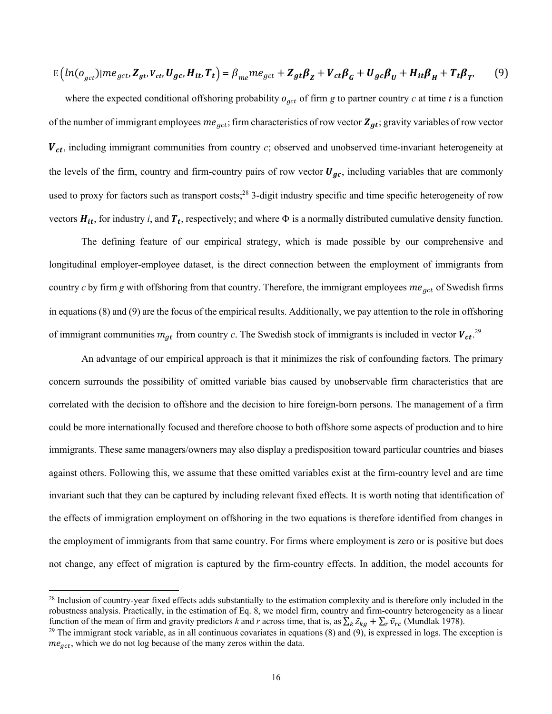$$
E\left(ln(o_{gct})|me_{gct}, \mathbf{Z}_{gt}, \mathbf{V}_{ct}, \mathbf{U}_{gc}, \mathbf{H}_{it}, \mathbf{T}_{t}\right) = \beta_{me}me_{gct} + \mathbf{Z}_{gt}\beta_{Z} + \mathbf{V}_{ct}\beta_{G} + \mathbf{U}_{gc}\beta_{U} + \mathbf{H}_{it}\beta_{H} + \mathbf{T}_{t}\beta_{T}.
$$
 (9)

where the expected conditional offshoring probability  $o_{\text{gct}}$  of firm *g* to partner country *c* at time *t* is a function of the number of immigrant employees  $me_{gct}$ ; firm characteristics of row vector  $Z_{gt}$ ; gravity variables of row vector  $V_{ct}$ , including immigrant communities from country  $c$ ; observed and unobserved time-invariant heterogeneity at the levels of the firm, country and firm-country pairs of row vector  $U_{qc}$ , including variables that are commonly used to proxy for factors such as transport costs;<sup>28</sup> 3-digit industry specific and time specific heterogeneity of row vectors  $H_{it}$ , for industry *i*, and  $T_t$ , respectively; and where  $\Phi$  is a normally distributed cumulative density function.

The defining feature of our empirical strategy, which is made possible by our comprehensive and longitudinal employer-employee dataset, is the direct connection between the employment of immigrants from country  $c$  by firm  $g$  with offshoring from that country. Therefore, the immigrant employees  $me_{qct}$  of Swedish firms in equations (8) and (9) are the focus of the empirical results. Additionally, we pay attention to the role in offshoring of immigrant communities  $m_{gt}$  from country *c*. The Swedish stock of immigrants is included in vector  $V_{ct}$ .<sup>29</sup>

An advantage of our empirical approach is that it minimizes the risk of confounding factors. The primary concern surrounds the possibility of omitted variable bias caused by unobservable firm characteristics that are correlated with the decision to offshore and the decision to hire foreign-born persons. The management of a firm could be more internationally focused and therefore choose to both offshore some aspects of production and to hire immigrants. These same managers/owners may also display a predisposition toward particular countries and biases against others. Following this, we assume that these omitted variables exist at the firm-country level and are time invariant such that they can be captured by including relevant fixed effects. It is worth noting that identification of the effects of immigration employment on offshoring in the two equations is therefore identified from changes in the employment of immigrants from that same country. For firms where employment is zero or is positive but does not change, any effect of migration is captured by the firm-country effects. In addition, the model accounts for

<sup>&</sup>lt;sup>28</sup> Inclusion of country-year fixed effects adds substantially to the estimation complexity and is therefore only included in the robustness analysis. Practically, in the estimation of Eq. 8, we model firm, country and firm-country heterogeneity as a linear function of the mean of firm and gravity predictors *k* and *r* across time, that is, as  $\sum_k \bar{z}_{kg} + \sum_r \bar{v}_{rc}$  (Mundlak 1978).

 $29$  The immigrant stock variable, as in all continuous covariates in equations (8) and (9), is expressed in logs. The exception is  $me_{gct}$ , which we do not log because of the many zeros within the data.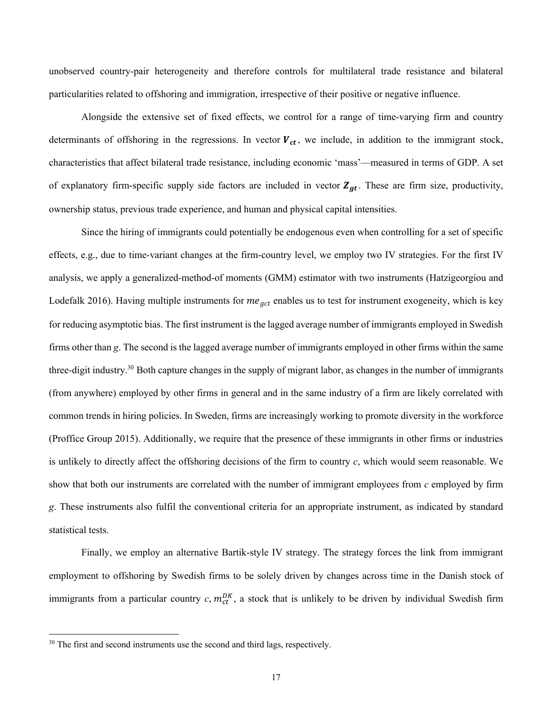unobserved country-pair heterogeneity and therefore controls for multilateral trade resistance and bilateral particularities related to offshoring and immigration, irrespective of their positive or negative influence.

Alongside the extensive set of fixed effects, we control for a range of time-varying firm and country determinants of offshoring in the regressions. In vector  $V_{ct}$ , we include, in addition to the immigrant stock, characteristics that affect bilateral trade resistance, including economic 'mass'—measured in terms of GDP. A set of explanatory firm-specific supply side factors are included in vector  $Z_{qt}$ . These are firm size, productivity, ownership status, previous trade experience, and human and physical capital intensities.

Since the hiring of immigrants could potentially be endogenous even when controlling for a set of specific effects, e.g., due to time-variant changes at the firm-country level, we employ two IV strategies. For the first IV analysis, we apply a generalized-method-of moments (GMM) estimator with two instruments (Hatzigeorgiou and Lodefalk 2016). Having multiple instruments for  $me_{gct}$  enables us to test for instrument exogeneity, which is key for reducing asymptotic bias. The first instrument is the lagged average number of immigrants employed in Swedish firms other than *g*. The second is the lagged average number of immigrants employed in other firms within the same three-digit industry.30 Both capture changes in the supply of migrant labor, as changes in the number of immigrants (from anywhere) employed by other firms in general and in the same industry of a firm are likely correlated with common trends in hiring policies. In Sweden, firms are increasingly working to promote diversity in the workforce (Proffice Group 2015). Additionally, we require that the presence of these immigrants in other firms or industries is unlikely to directly affect the offshoring decisions of the firm to country *c*, which would seem reasonable. We show that both our instruments are correlated with the number of immigrant employees from *c* employed by firm *g*. These instruments also fulfil the conventional criteria for an appropriate instrument, as indicated by standard statistical tests.

Finally, we employ an alternative Bartik-style IV strategy. The strategy forces the link from immigrant employment to offshoring by Swedish firms to be solely driven by changes across time in the Danish stock of immigrants from a particular country  $c, m_{ct}^{DK}$ , a stock that is unlikely to be driven by individual Swedish firm

 $30$  The first and second instruments use the second and third lags, respectively.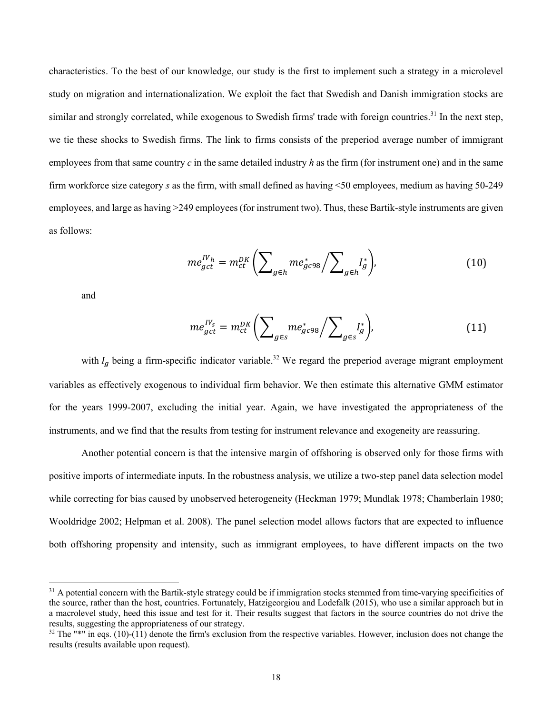characteristics. To the best of our knowledge, our study is the first to implement such a strategy in a microlevel study on migration and internationalization. We exploit the fact that Swedish and Danish immigration stocks are similar and strongly correlated, while exogenous to Swedish firms' trade with foreign countries.<sup>31</sup> In the next step, we tie these shocks to Swedish firms. The link to firms consists of the preperiod average number of immigrant employees from that same country  $c$  in the same detailed industry  $h$  as the firm (for instrument one) and in the same firm workforce size category *s* as the firm, with small defined as having <50 employees, medium as having 50-249 employees, and large as having >249 employees (for instrument two). Thus, these Bartik-style instruments are given as follows:

$$
me_{gct}^{IV_h} = m_{ct}^{DK} \left( \sum_{g \in h} m e_{gc98}^* / \sum_{g \in h} I_g^* \right), \tag{10}
$$

and

$$
me_{gct}^{IV_s} = m_{ct}^{DK} \left( \sum_{g \in s} m e_{gc98}^* / \sum_{g \in s} I_g^* \right), \tag{11}
$$

with  $I_g$  being a firm-specific indicator variable.<sup>32</sup> We regard the preperiod average migrant employment variables as effectively exogenous to individual firm behavior. We then estimate this alternative GMM estimator for the years 1999-2007, excluding the initial year. Again, we have investigated the appropriateness of the instruments, and we find that the results from testing for instrument relevance and exogeneity are reassuring.

Another potential concern is that the intensive margin of offshoring is observed only for those firms with positive imports of intermediate inputs. In the robustness analysis, we utilize a two-step panel data selection model while correcting for bias caused by unobserved heterogeneity (Heckman 1979; Mundlak 1978; Chamberlain 1980; Wooldridge 2002; Helpman et al. 2008). The panel selection model allows factors that are expected to influence both offshoring propensity and intensity, such as immigrant employees, to have different impacts on the two

<sup>&</sup>lt;sup>31</sup> A potential concern with the Bartik-style strategy could be if immigration stocks stemmed from time-varying specificities of the source, rather than the host, countries. Fortunately, Hatzigeorgiou and Lodefalk (2015), who use a similar approach but in a macrolevel study, heed this issue and test for it. Their results suggest that factors in the source countries do not drive the results, suggesting the appropriateness of our strategy.

 $32$  The "\*" in eqs. (10)-(11) denote the firm's exclusion from the respective variables. However, inclusion does not change the results (results available upon request).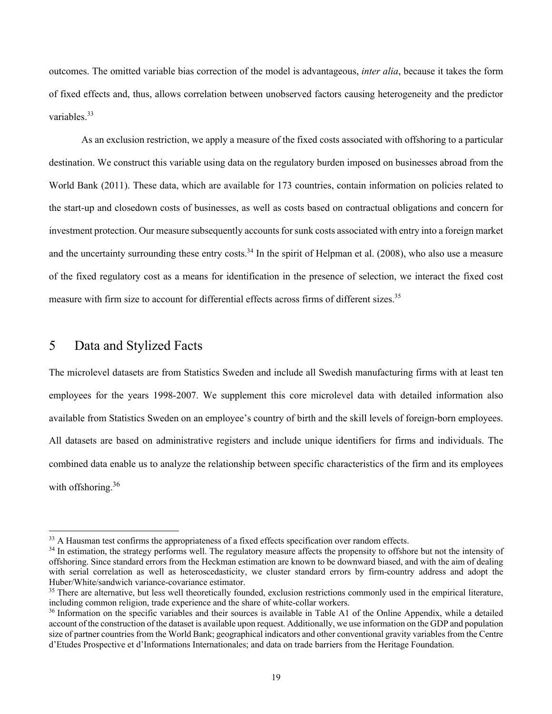outcomes. The omitted variable bias correction of the model is advantageous, *inter alia*, because it takes the form of fixed effects and, thus, allows correlation between unobserved factors causing heterogeneity and the predictor variables.<sup>33</sup>

As an exclusion restriction, we apply a measure of the fixed costs associated with offshoring to a particular destination. We construct this variable using data on the regulatory burden imposed on businesses abroad from the World Bank (2011). These data, which are available for 173 countries, contain information on policies related to the start-up and closedown costs of businesses, as well as costs based on contractual obligations and concern for investment protection. Our measure subsequently accounts for sunk costs associated with entry into a foreign market and the uncertainty surrounding these entry costs.<sup>34</sup> In the spirit of Helpman et al. (2008), who also use a measure of the fixed regulatory cost as a means for identification in the presence of selection, we interact the fixed cost measure with firm size to account for differential effects across firms of different sizes.<sup>35</sup>

# 5 Data and Stylized Facts

The microlevel datasets are from Statistics Sweden and include all Swedish manufacturing firms with at least ten employees for the years 1998-2007. We supplement this core microlevel data with detailed information also available from Statistics Sweden on an employee's country of birth and the skill levels of foreign-born employees. All datasets are based on administrative registers and include unique identifiers for firms and individuals. The combined data enable us to analyze the relationship between specific characteristics of the firm and its employees with offshoring.<sup>36</sup>

<sup>&</sup>lt;sup>33</sup> A Hausman test confirms the appropriateness of a fixed effects specification over random effects.

<sup>&</sup>lt;sup>34</sup> In estimation, the strategy performs well. The regulatory measure affects the propensity to offshore but not the intensity of offshoring. Since standard errors from the Heckman estimation are known to be downward biased, and with the aim of dealing with serial correlation as well as heteroscedasticity, we cluster standard errors by firm-country address and adopt the Huber/White/sandwich variance-covariance estimator.

<sup>&</sup>lt;sup>35</sup> There are alternative, but less well theoretically founded, exclusion restrictions commonly used in the empirical literature, including common religion, trade experience and the share of white-collar workers.

<sup>&</sup>lt;sup>36</sup> Information on the specific variables and their sources is available in Table A1 of the Online Appendix, while a detailed account of the construction of the dataset is available upon request. Additionally, we use information on the GDP and population size of partner countries from the World Bank; geographical indicators and other conventional gravity variables from the Centre d'Etudes Prospective et d'Informations Internationales; and data on trade barriers from the Heritage Foundation.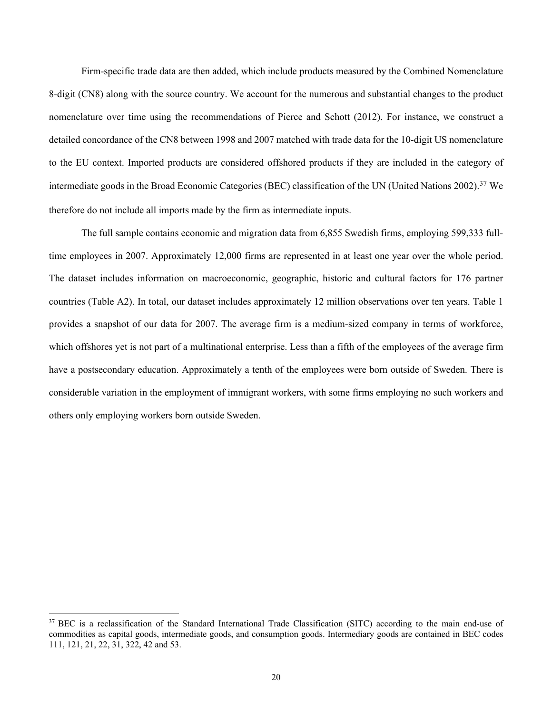Firm-specific trade data are then added, which include products measured by the Combined Nomenclature 8-digit (CN8) along with the source country. We account for the numerous and substantial changes to the product nomenclature over time using the recommendations of Pierce and Schott (2012). For instance, we construct a detailed concordance of the CN8 between 1998 and 2007 matched with trade data for the 10-digit US nomenclature to the EU context. Imported products are considered offshored products if they are included in the category of intermediate goods in the Broad Economic Categories (BEC) classification of the UN (United Nations 2002).<sup>37</sup> We therefore do not include all imports made by the firm as intermediate inputs.

The full sample contains economic and migration data from 6,855 Swedish firms, employing 599,333 fulltime employees in 2007. Approximately 12,000 firms are represented in at least one year over the whole period. The dataset includes information on macroeconomic, geographic, historic and cultural factors for 176 partner countries (Table A2). In total, our dataset includes approximately 12 million observations over ten years. Table 1 provides a snapshot of our data for 2007. The average firm is a medium-sized company in terms of workforce, which offshores yet is not part of a multinational enterprise. Less than a fifth of the employees of the average firm have a postsecondary education. Approximately a tenth of the employees were born outside of Sweden. There is considerable variation in the employment of immigrant workers, with some firms employing no such workers and others only employing workers born outside Sweden.

<sup>&</sup>lt;sup>37</sup> BEC is a reclassification of the Standard International Trade Classification (SITC) according to the main end-use of commodities as capital goods, intermediate goods, and consumption goods. Intermediary goods are contained in BEC codes 111, 121, 21, 22, 31, 322, 42 and 53.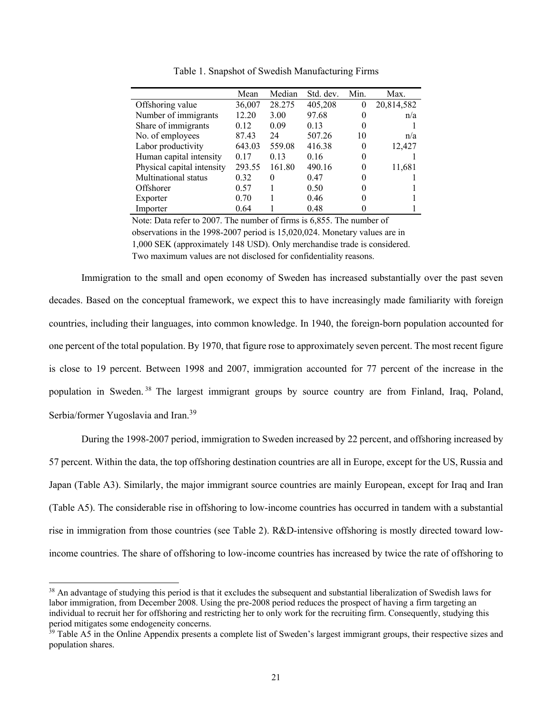|                            | Mean   | Median | Std. dev. | Min.     | Max.       |
|----------------------------|--------|--------|-----------|----------|------------|
| Offshoring value           | 36,007 | 28.275 | 405,208   | $\theta$ | 20,814,582 |
| Number of immigrants       | 12.20  | 3.00   | 97.68     | 0        | n/a        |
| Share of immigrants        | 0.12   | 0.09   | 0.13      | $\theta$ |            |
| No. of employees           | 87.43  | 24     | 507.26    | 10       | n/a        |
| Labor productivity         | 643.03 | 559.08 | 416.38    | 0        | 12,427     |
| Human capital intensity    | 0.17   | 0.13   | 0.16      |          |            |
| Physical capital intensity | 293.55 | 161.80 | 490.16    | 0        | 11,681     |
| Multinational status       | 0.32   | 0      | 0.47      |          |            |
| Offshorer                  | 0.57   |        | 0.50      |          |            |
| Exporter                   | 0.70   |        | 0.46      |          |            |
| Importer                   | 0.64   |        | 0.48      |          |            |

Table 1. Snapshot of Swedish Manufacturing Firms

Note: Data refer to 2007. The number of firms is 6,855. The number of observations in the 1998-2007 period is 15,020,024. Monetary values are in 1,000 SEK (approximately 148 USD). Only merchandise trade is considered. Two maximum values are not disclosed for confidentiality reasons.

Immigration to the small and open economy of Sweden has increased substantially over the past seven decades. Based on the conceptual framework, we expect this to have increasingly made familiarity with foreign countries, including their languages, into common knowledge. In 1940, the foreign-born population accounted for one percent of the total population. By 1970, that figure rose to approximately seven percent. The most recent figure is close to 19 percent. Between 1998 and 2007, immigration accounted for 77 percent of the increase in the population in Sweden.<sup>38</sup> The largest immigrant groups by source country are from Finland, Iraq, Poland, Serbia/former Yugoslavia and Iran.<sup>39</sup>

During the 1998-2007 period, immigration to Sweden increased by 22 percent, and offshoring increased by 57 percent. Within the data, the top offshoring destination countries are all in Europe, except for the US, Russia and Japan (Table A3). Similarly, the major immigrant source countries are mainly European, except for Iraq and Iran (Table A5). The considerable rise in offshoring to low-income countries has occurred in tandem with a substantial rise in immigration from those countries (see Table 2). R&D-intensive offshoring is mostly directed toward lowincome countries. The share of offshoring to low-income countries has increased by twice the rate of offshoring to

<sup>&</sup>lt;sup>38</sup> An advantage of studying this period is that it excludes the subsequent and substantial liberalization of Swedish laws for labor immigration, from December 2008. Using the pre-2008 period reduces the prospect of having a firm targeting an individual to recruit her for offshoring and restricting her to only work for the recruiting firm. Consequently, studying this period mitigates some endogeneity concerns.

<sup>&</sup>lt;sup>39</sup> Table A5 in the Online Appendix presents a complete list of Sweden's largest immigrant groups, their respective sizes and population shares.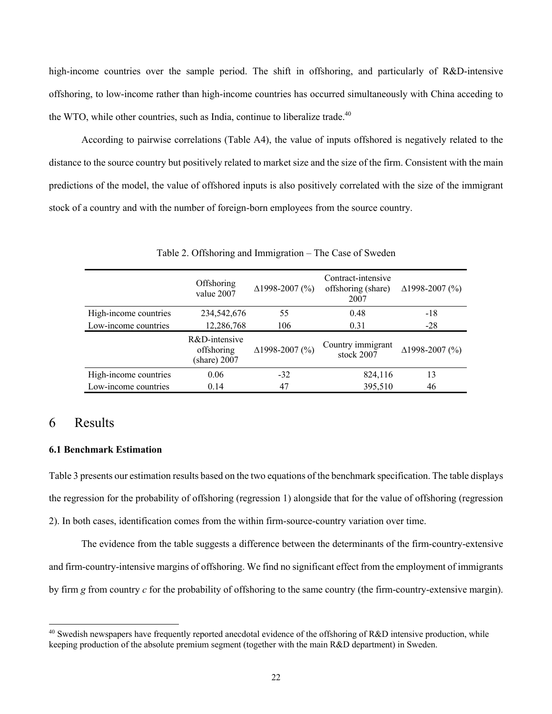high-income countries over the sample period. The shift in offshoring, and particularly of R&D-intensive offshoring, to low-income rather than high-income countries has occurred simultaneously with China acceding to the WTO, while other countries, such as India, continue to liberalize trade.<sup>40</sup>

According to pairwise correlations (Table A4), the value of inputs offshored is negatively related to the distance to the source country but positively related to market size and the size of the firm. Consistent with the main predictions of the model, the value of offshored inputs is also positively correlated with the size of the immigrant stock of a country and with the number of foreign-born employees from the source country.

|                       | Offshoring<br>value 2007                             | $\Delta$ 1998-2007 (%) | Contract-intensive<br>offshoring (share)<br>2007 | $\Delta$ 1998-2007 (%) |
|-----------------------|------------------------------------------------------|------------------------|--------------------------------------------------|------------------------|
| High-income countries | 234,542,676                                          | 55                     | 0.48                                             | -18                    |
| Low-income countries  | 12,286,768                                           | 106                    | 0.31                                             | $-28$                  |
|                       | R&D-intensive<br>offshoring<br>$(\text{share}) 2007$ | $\Delta$ 1998-2007 (%) | Country immigrant<br>stock 2007                  | $\Delta$ 1998-2007 (%) |
| High-income countries | 0.06                                                 | $-32$                  | 824,116                                          | 13                     |
| Low-income countries  | 0.14                                                 | 47                     | 395,510                                          | 46                     |

Table 2. Offshoring and Immigration – The Case of Sweden

# 6 Results

#### **6.1 Benchmark Estimation**

Table 3 presents our estimation results based on the two equations of the benchmark specification. The table displays the regression for the probability of offshoring (regression 1) alongside that for the value of offshoring (regression 2). In both cases, identification comes from the within firm-source-country variation over time.

The evidence from the table suggests a difference between the determinants of the firm-country-extensive and firm-country-intensive margins of offshoring. We find no significant effect from the employment of immigrants by firm *g* from country *c* for the probability of offshoring to the same country (the firm-country-extensive margin).

 $40$  Swedish newspapers have frequently reported anecdotal evidence of the offshoring of R&D intensive production, while keeping production of the absolute premium segment (together with the main R&D department) in Sweden.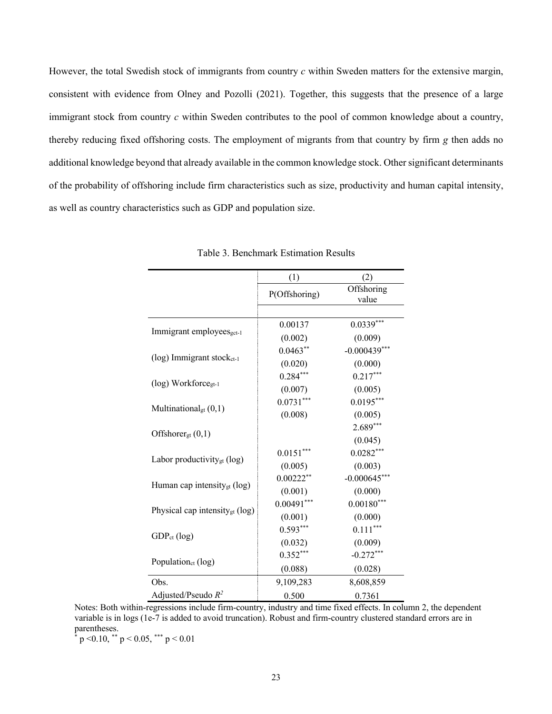However, the total Swedish stock of immigrants from country *c* within Sweden matters for the extensive margin, consistent with evidence from Olney and Pozolli (2021). Together, this suggests that the presence of a large immigrant stock from country *c* within Sweden contributes to the pool of common knowledge about a country, thereby reducing fixed offshoring costs. The employment of migrants from that country by firm *g* then adds no additional knowledge beyond that already available in the common knowledge stock. Other significant determinants of the probability of offshoring include firm characteristics such as size, productivity and human capital intensity, as well as country characteristics such as GDP and population size.

|                                            | (1)           | (2)                 |
|--------------------------------------------|---------------|---------------------|
|                                            | P(Offshoring) | Offshoring<br>value |
|                                            |               |                     |
|                                            | 0.00137       | $0.0339***$         |
| Immigrant employees <sub>gct-1</sub>       | (0.002)       | (0.009)             |
|                                            | $0.0463**$    | $-0.000439***$      |
| $(log)$ Immigrant stock <sub>ct-1</sub>    | (0.020)       | (0.000)             |
|                                            | $0.284***$    | $0.217***$          |
| (log) Workforce <sub>gt-1</sub>            | (0.007)       | (0.005)             |
|                                            | $0.0731***$   | $0.0195***$         |
| Multinational <sub>gt</sub> $(0,1)$        | (0.008)       | (0.005)             |
|                                            |               | $2.689***$          |
| Offshorer <sub>gt</sub> $(0,1)$            |               | (0.045)             |
|                                            | $0.0151***$   | $0.0282***$         |
| Labor productivity <sub>gt</sub> (log)     | (0.005)       | (0.003)             |
|                                            | $0.00222**$   | $-0.000645***$      |
| Human cap intensity <sub>gt</sub> (log)    | (0.001)       | (0.000)             |
|                                            | $0.00491***$  | $0.00180***$        |
| Physical cap intensity <sub>gt</sub> (log) | (0.001)       | (0.000)             |
|                                            | $0.593***$    | $0.111***$          |
| $GDP_{ct}$ (log)                           | (0.032)       | (0.009)             |
|                                            | $0.352***$    | $-0.272***$         |
| Population <sub>ct</sub> (log)             | (0.088)       | (0.028)             |
| Obs.                                       | 9,109,283     | 8,608,859           |
| Adjusted/Pseudo $R^2$                      | 0.500         | 0.7361              |

Notes: Both within-regressions include firm-country, industry and time fixed effects. In column 2, the dependent variable is in logs (1e-7 is added to avoid truncation). Robust and firm-country clustered standard errors are in parentheses.

 $*$  p < 0.10,  $*$  p < 0.05,  $*$  p < 0.01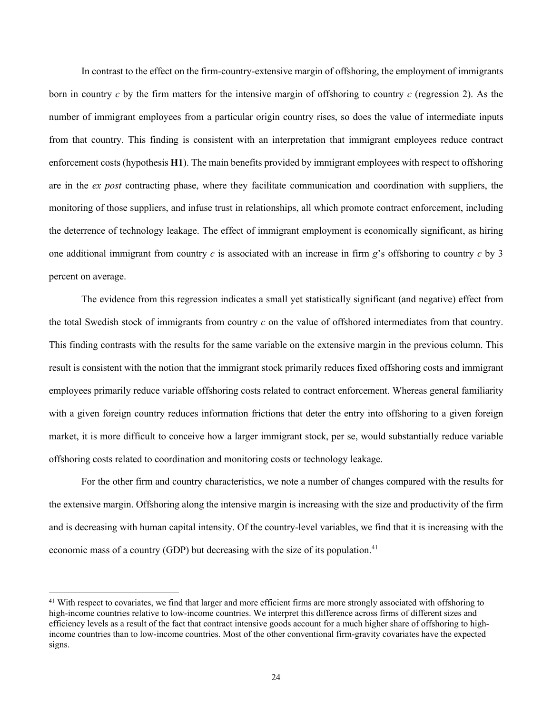In contrast to the effect on the firm-country-extensive margin of offshoring, the employment of immigrants born in country *c* by the firm matters for the intensive margin of offshoring to country *c* (regression 2). As the number of immigrant employees from a particular origin country rises, so does the value of intermediate inputs from that country. This finding is consistent with an interpretation that immigrant employees reduce contract enforcement costs (hypothesis **H1**). The main benefits provided by immigrant employees with respect to offshoring are in the *ex post* contracting phase, where they facilitate communication and coordination with suppliers, the monitoring of those suppliers, and infuse trust in relationships, all which promote contract enforcement, including the deterrence of technology leakage. The effect of immigrant employment is economically significant, as hiring one additional immigrant from country *c* is associated with an increase in firm *g*'s offshoring to country *c* by 3 percent on average.

The evidence from this regression indicates a small yet statistically significant (and negative) effect from the total Swedish stock of immigrants from country *c* on the value of offshored intermediates from that country. This finding contrasts with the results for the same variable on the extensive margin in the previous column. This result is consistent with the notion that the immigrant stock primarily reduces fixed offshoring costs and immigrant employees primarily reduce variable offshoring costs related to contract enforcement. Whereas general familiarity with a given foreign country reduces information frictions that deter the entry into offshoring to a given foreign market, it is more difficult to conceive how a larger immigrant stock, per se, would substantially reduce variable offshoring costs related to coordination and monitoring costs or technology leakage.

For the other firm and country characteristics, we note a number of changes compared with the results for the extensive margin. Offshoring along the intensive margin is increasing with the size and productivity of the firm and is decreasing with human capital intensity. Of the country-level variables, we find that it is increasing with the economic mass of a country (GDP) but decreasing with the size of its population.<sup>41</sup>

<sup>&</sup>lt;sup>41</sup> With respect to covariates, we find that larger and more efficient firms are more strongly associated with offshoring to high-income countries relative to low-income countries. We interpret this difference across firms of different sizes and efficiency levels as a result of the fact that contract intensive goods account for a much higher share of offshoring to highincome countries than to low-income countries. Most of the other conventional firm-gravity covariates have the expected signs.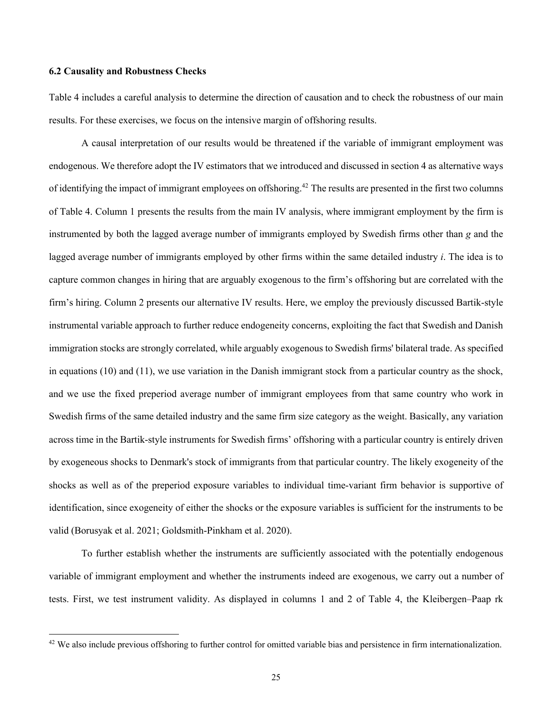#### **6.2 Causality and Robustness Checks**

Table 4 includes a careful analysis to determine the direction of causation and to check the robustness of our main results. For these exercises, we focus on the intensive margin of offshoring results.

A causal interpretation of our results would be threatened if the variable of immigrant employment was endogenous. We therefore adopt the IV estimators that we introduced and discussed in section 4 as alternative ways of identifying the impact of immigrant employees on offshoring.<sup>42</sup> The results are presented in the first two columns of Table 4. Column 1 presents the results from the main IV analysis, where immigrant employment by the firm is instrumented by both the lagged average number of immigrants employed by Swedish firms other than *g* and the lagged average number of immigrants employed by other firms within the same detailed industry *i*. The idea is to capture common changes in hiring that are arguably exogenous to the firm's offshoring but are correlated with the firm's hiring. Column 2 presents our alternative IV results. Here, we employ the previously discussed Bartik-style instrumental variable approach to further reduce endogeneity concerns, exploiting the fact that Swedish and Danish immigration stocks are strongly correlated, while arguably exogenous to Swedish firms' bilateral trade. As specified in equations (10) and (11), we use variation in the Danish immigrant stock from a particular country as the shock, and we use the fixed preperiod average number of immigrant employees from that same country who work in Swedish firms of the same detailed industry and the same firm size category as the weight. Basically, any variation across time in the Bartik-style instruments for Swedish firms' offshoring with a particular country is entirely driven by exogeneous shocks to Denmark's stock of immigrants from that particular country. The likely exogeneity of the shocks as well as of the preperiod exposure variables to individual time-variant firm behavior is supportive of identification, since exogeneity of either the shocks or the exposure variables is sufficient for the instruments to be valid (Borusyak et al. 2021; Goldsmith-Pinkham et al. 2020).

To further establish whether the instruments are sufficiently associated with the potentially endogenous variable of immigrant employment and whether the instruments indeed are exogenous, we carry out a number of tests. First, we test instrument validity. As displayed in columns 1 and 2 of Table 4, the Kleibergen–Paap rk

<sup>&</sup>lt;sup>42</sup> We also include previous offshoring to further control for omitted variable bias and persistence in firm internationalization.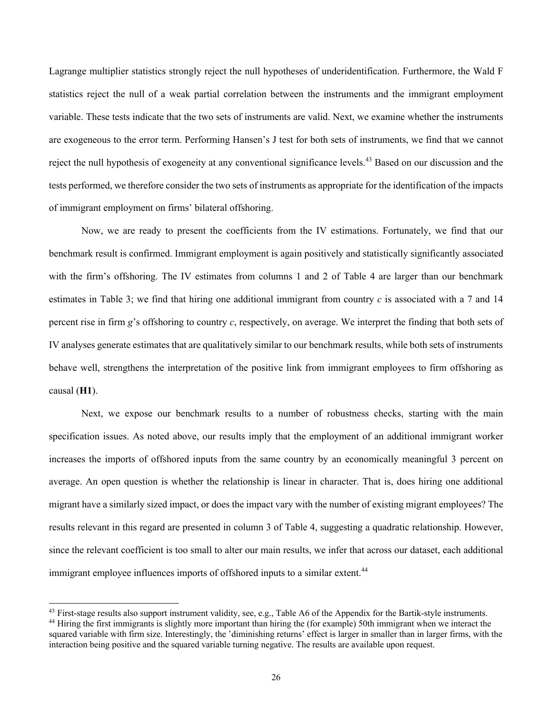Lagrange multiplier statistics strongly reject the null hypotheses of underidentification. Furthermore, the Wald F statistics reject the null of a weak partial correlation between the instruments and the immigrant employment variable. These tests indicate that the two sets of instruments are valid. Next, we examine whether the instruments are exogeneous to the error term. Performing Hansen's J test for both sets of instruments, we find that we cannot reject the null hypothesis of exogeneity at any conventional significance levels.<sup>43</sup> Based on our discussion and the tests performed, we therefore consider the two sets of instruments as appropriate for the identification of the impacts of immigrant employment on firms' bilateral offshoring.

Now, we are ready to present the coefficients from the IV estimations. Fortunately, we find that our benchmark result is confirmed. Immigrant employment is again positively and statistically significantly associated with the firm's offshoring. The IV estimates from columns 1 and 2 of Table 4 are larger than our benchmark estimates in Table 3; we find that hiring one additional immigrant from country *c* is associated with a 7 and 14 percent rise in firm *g*'s offshoring to country *c*, respectively, on average. We interpret the finding that both sets of IV analyses generate estimates that are qualitatively similar to our benchmark results, while both sets of instruments behave well, strengthens the interpretation of the positive link from immigrant employees to firm offshoring as causal (**H1**).

Next, we expose our benchmark results to a number of robustness checks, starting with the main specification issues. As noted above, our results imply that the employment of an additional immigrant worker increases the imports of offshored inputs from the same country by an economically meaningful 3 percent on average. An open question is whether the relationship is linear in character. That is, does hiring one additional migrant have a similarly sized impact, or does the impact vary with the number of existing migrant employees? The results relevant in this regard are presented in column 3 of Table 4, suggesting a quadratic relationship. However, since the relevant coefficient is too small to alter our main results, we infer that across our dataset, each additional immigrant employee influences imports of offshored inputs to a similar extent.<sup>44</sup>

<sup>&</sup>lt;sup>43</sup> First-stage results also support instrument validity, see, e.g., Table A6 of the Appendix for the Bartik-style instruments.

<sup>44</sup> Hiring the first immigrants is slightly more important than hiring the (for example) 50th immigrant when we interact the squared variable with firm size. Interestingly, the 'diminishing returns' effect is larger in smaller than in larger firms, with the interaction being positive and the squared variable turning negative. The results are available upon request.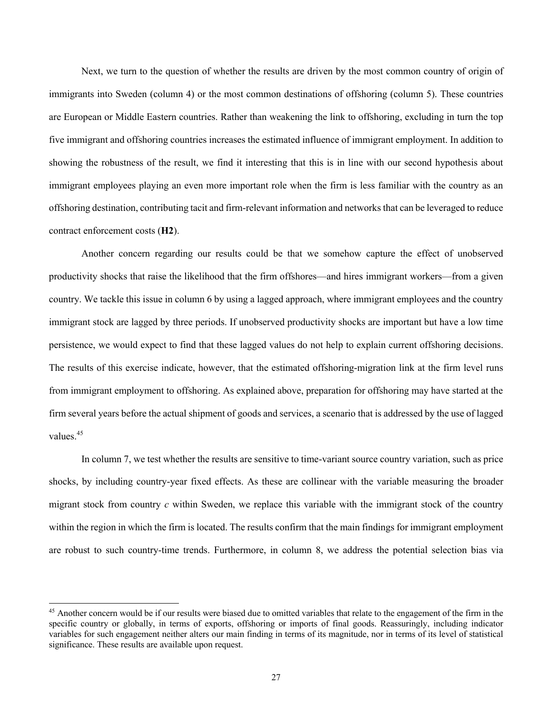Next, we turn to the question of whether the results are driven by the most common country of origin of immigrants into Sweden (column 4) or the most common destinations of offshoring (column 5). These countries are European or Middle Eastern countries. Rather than weakening the link to offshoring, excluding in turn the top five immigrant and offshoring countries increases the estimated influence of immigrant employment. In addition to showing the robustness of the result, we find it interesting that this is in line with our second hypothesis about immigrant employees playing an even more important role when the firm is less familiar with the country as an offshoring destination, contributing tacit and firm-relevant information and networks that can be leveraged to reduce contract enforcement costs (**H2**).

Another concern regarding our results could be that we somehow capture the effect of unobserved productivity shocks that raise the likelihood that the firm offshores—and hires immigrant workers—from a given country. We tackle this issue in column 6 by using a lagged approach, where immigrant employees and the country immigrant stock are lagged by three periods. If unobserved productivity shocks are important but have a low time persistence, we would expect to find that these lagged values do not help to explain current offshoring decisions. The results of this exercise indicate, however, that the estimated offshoring-migration link at the firm level runs from immigrant employment to offshoring. As explained above, preparation for offshoring may have started at the firm several years before the actual shipment of goods and services, a scenario that is addressed by the use of lagged values. 45

In column 7, we test whether the results are sensitive to time-variant source country variation, such as price shocks, by including country-year fixed effects. As these are collinear with the variable measuring the broader migrant stock from country *c* within Sweden, we replace this variable with the immigrant stock of the country within the region in which the firm is located. The results confirm that the main findings for immigrant employment are robust to such country-time trends. Furthermore, in column 8, we address the potential selection bias via

<sup>&</sup>lt;sup>45</sup> Another concern would be if our results were biased due to omitted variables that relate to the engagement of the firm in the specific country or globally, in terms of exports, offshoring or imports of final goods. Reassuringly, including indicator variables for such engagement neither alters our main finding in terms of its magnitude, nor in terms of its level of statistical significance. These results are available upon request.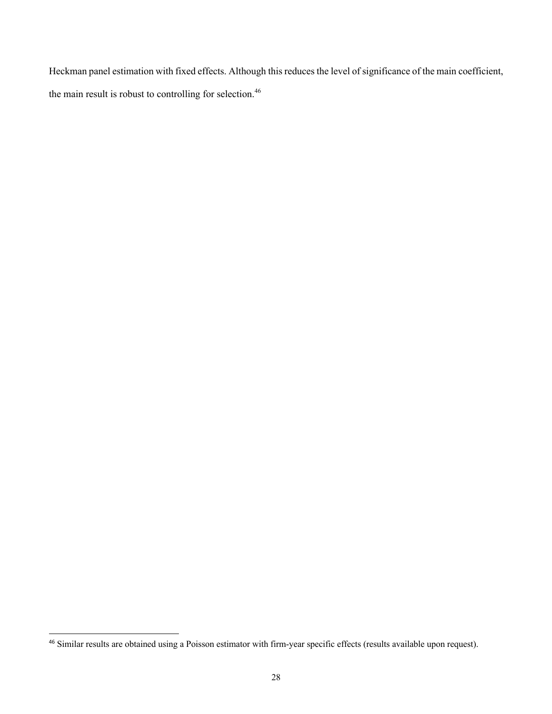Heckman panel estimation with fixed effects. Although this reduces the level of significance of the main coefficient, the main result is robust to controlling for selection.<sup>46</sup>

<sup>&</sup>lt;sup>46</sup> Similar results are obtained using a Poisson estimator with firm-year specific effects (results available upon request).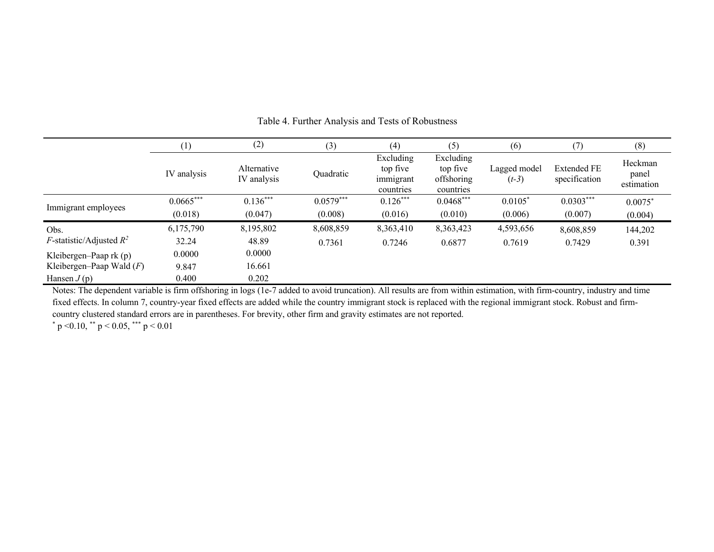|                                    | (1)         | (2)                        | (3)         | (4)                                             | (5)                                              | (6)                     | (7)                                 | (8)                            |
|------------------------------------|-------------|----------------------------|-------------|-------------------------------------------------|--------------------------------------------------|-------------------------|-------------------------------------|--------------------------------|
|                                    | IV analysis | Alternative<br>IV analysis | Quadratic   | Excluding<br>top five<br>immigrant<br>countries | Excluding<br>top five<br>offshoring<br>countries | Lagged model<br>$(t-3)$ | <b>Extended FE</b><br>specification | Heckman<br>panel<br>estimation |
|                                    | $0.0665***$ | $0.136***$                 | $0.0579***$ | $0.126***$                                      | $0.0468***$                                      | $0.0105*$               | $0.0303***$                         | $0.0075*$                      |
| Immigrant employees                | (0.018)     | (0.047)                    | (0.008)     | (0.016)                                         | (0.010)                                          | (0.006)                 | (0.007)                             | (0.004)                        |
| Obs.                               | 6,175,790   | 8,195,802                  | 8,608,859   | 8,363,410                                       | 8,363,423                                        | 4,593,656               | 8,608,859                           | 144,202                        |
| <i>F</i> -statistic/Adjusted $R^2$ | 32.24       | 48.89                      | 0.7361      | 0.7246                                          | 0.6877                                           | 0.7619                  | 0.7429                              | 0.391                          |
| Kleibergen-Paap $rk(p)$            | 0.0000      | 0.0000                     |             |                                                 |                                                  |                         |                                     |                                |
| Kleibergen-Paap Wald $(F)$         | 9.847       | 16.661                     |             |                                                 |                                                  |                         |                                     |                                |
| Hansen $J(p)$                      | 0.400       | 0.202                      |             |                                                 |                                                  |                         |                                     |                                |

Table 4. Further Analysis and Tests of Robustness

Notes: The dependent variable is firm offshoring in logs (1e-7 added to avoid truncation). All results are from within estimation, with firm-country, industry and time fixed effects. In column 7, country-year fixed effects are added while the country immigrant stock is replaced with the regional immigrant stock. Robust and firmcountry clustered standard errors are in parentheses. For brevity, other firm and gravity estimates are not reported.

 $*$  p < 0.10,  $*$  p < 0.05,  $*$  p < 0.01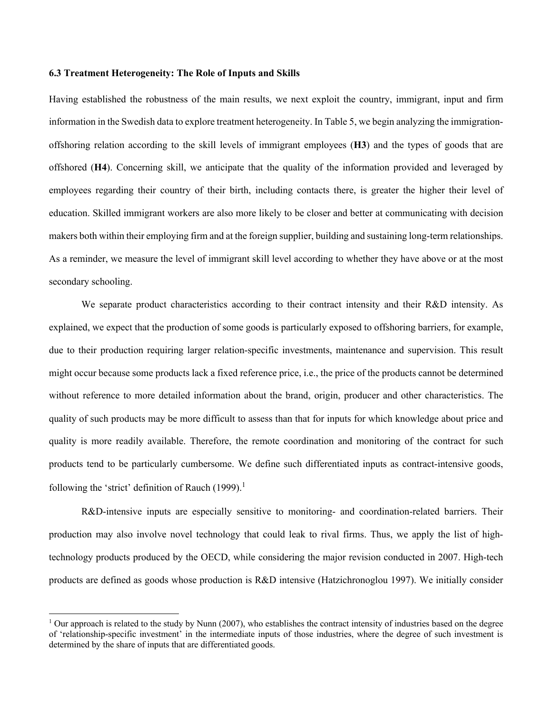#### **6.3 Treatment Heterogeneity: The Role of Inputs and Skills**

Having established the robustness of the main results, we next exploit the country, immigrant, input and firm information in the Swedish data to explore treatment heterogeneity. In Table 5, we begin analyzing the immigrationoffshoring relation according to the skill levels of immigrant employees (**H3**) and the types of goods that are offshored (**H4**). Concerning skill, we anticipate that the quality of the information provided and leveraged by employees regarding their country of their birth, including contacts there, is greater the higher their level of education. Skilled immigrant workers are also more likely to be closer and better at communicating with decision makers both within their employing firm and at the foreign supplier, building and sustaining long-term relationships. As a reminder, we measure the level of immigrant skill level according to whether they have above or at the most secondary schooling.

We separate product characteristics according to their contract intensity and their R&D intensity. As explained, we expect that the production of some goods is particularly exposed to offshoring barriers, for example, due to their production requiring larger relation-specific investments, maintenance and supervision. This result might occur because some products lack a fixed reference price, i.e., the price of the products cannot be determined without reference to more detailed information about the brand, origin, producer and other characteristics. The quality of such products may be more difficult to assess than that for inputs for which knowledge about price and quality is more readily available. Therefore, the remote coordination and monitoring of the contract for such products tend to be particularly cumbersome. We define such differentiated inputs as contract-intensive goods, following the 'strict' definition of Rauch (1999).<sup>1</sup>

R&D-intensive inputs are especially sensitive to monitoring- and coordination-related barriers. Their production may also involve novel technology that could leak to rival firms. Thus, we apply the list of hightechnology products produced by the OECD, while considering the major revision conducted in 2007. High-tech products are defined as goods whose production is R&D intensive (Hatzichronoglou 1997). We initially consider

<sup>&</sup>lt;sup>1</sup> Our approach is related to the study by Nunn (2007), who establishes the contract intensity of industries based on the degree of 'relationship-specific investment' in the intermediate inputs of those industries, where the degree of such investment is determined by the share of inputs that are differentiated goods.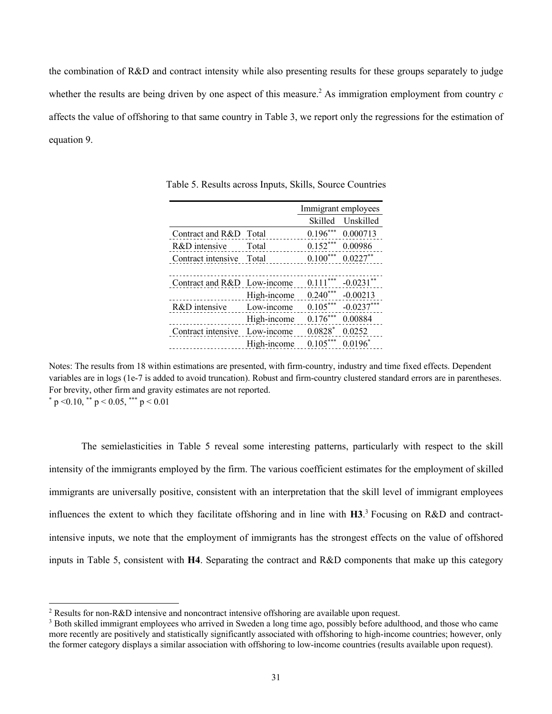the combination of R&D and contract intensity while also presenting results for these groups separately to judge whether the results are being driven by one aspect of this measure.<sup>2</sup> As immigration employment from country  $c$ affects the value of offshoring to that same country in Table 3, we report only the regressions for the estimation of equation 9.

|                             |             | Immigrant employees |                       |  |
|-----------------------------|-------------|---------------------|-----------------------|--|
|                             |             | Skilled             | Unskilled             |  |
| Contract and R&D Total      |             |                     | $0.196***$ 0.000713   |  |
| R&D intensive Total         |             |                     | $0.152***$ 0.00986    |  |
| Contract intensive Total    |             |                     | $0.100***$ $0.0227**$ |  |
|                             |             |                     |                       |  |
| Contract and R&D Low-income |             |                     | $0.111***$ -0.0231**  |  |
|                             | High-income |                     | $0.240***$ -0.00213   |  |
| R&D intensive               | Low-income  |                     | $0.105***$ -0.0237*** |  |
|                             | High-income | $0.176***$          | 0.00884               |  |
| Contract intensive          | Low-income  | $0.0828*$           | 0.0252                |  |
|                             | High-income | $0.105***$          | $0.0196^*$            |  |

Table 5. Results across Inputs, Skills, Source Countries

Notes: The results from 18 within estimations are presented, with firm-country, industry and time fixed effects. Dependent variables are in logs (1e-7 is added to avoid truncation). Robust and firm-country clustered standard errors are in parentheses. For brevity, other firm and gravity estimates are not reported.

 $p \le 0.10$ ,  $p \le 0.05$ ,  $p \le 0.01$ 

The semielasticities in Table 5 reveal some interesting patterns, particularly with respect to the skill intensity of the immigrants employed by the firm. The various coefficient estimates for the employment of skilled immigrants are universally positive, consistent with an interpretation that the skill level of immigrant employees influences the extent to which they facilitate offshoring and in line with **H3**. <sup>3</sup> Focusing on R&D and contractintensive inputs, we note that the employment of immigrants has the strongest effects on the value of offshored inputs in Table 5, consistent with **H4**. Separating the contract and R&D components that make up this category

<sup>&</sup>lt;sup>2</sup> Results for non-R&D intensive and noncontract intensive offshoring are available upon request.

<sup>&</sup>lt;sup>3</sup> Both skilled immigrant employees who arrived in Sweden a long time ago, possibly before adulthood, and those who came more recently are positively and statistically significantly associated with offshoring to high-income countries; however, only the former category displays a similar association with offshoring to low-income countries (results available upon request).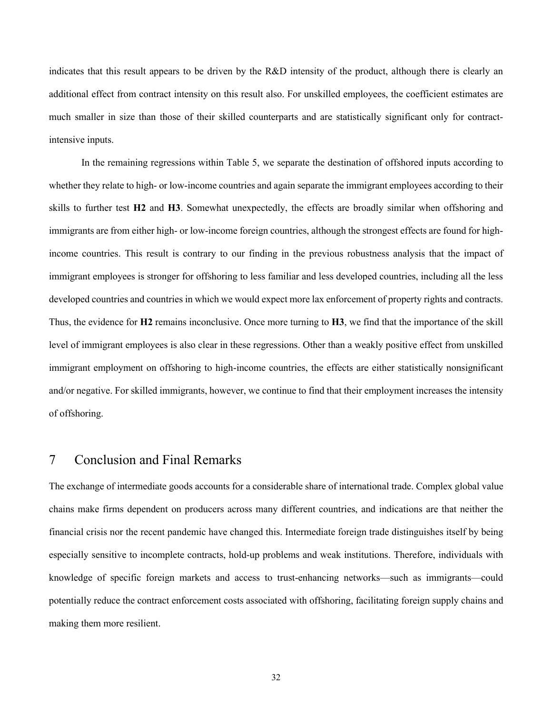indicates that this result appears to be driven by the R&D intensity of the product, although there is clearly an additional effect from contract intensity on this result also. For unskilled employees, the coefficient estimates are much smaller in size than those of their skilled counterparts and are statistically significant only for contractintensive inputs.

In the remaining regressions within Table 5, we separate the destination of offshored inputs according to whether they relate to high- or low-income countries and again separate the immigrant employees according to their skills to further test **H2** and **H3**. Somewhat unexpectedly, the effects are broadly similar when offshoring and immigrants are from either high- or low-income foreign countries, although the strongest effects are found for highincome countries. This result is contrary to our finding in the previous robustness analysis that the impact of immigrant employees is stronger for offshoring to less familiar and less developed countries, including all the less developed countries and countries in which we would expect more lax enforcement of property rights and contracts. Thus, the evidence for **H2** remains inconclusive. Once more turning to **H3**, we find that the importance of the skill level of immigrant employees is also clear in these regressions. Other than a weakly positive effect from unskilled immigrant employment on offshoring to high-income countries, the effects are either statistically nonsignificant and/or negative. For skilled immigrants, however, we continue to find that their employment increases the intensity of offshoring.

# 7 Conclusion and Final Remarks

The exchange of intermediate goods accounts for a considerable share of international trade. Complex global value chains make firms dependent on producers across many different countries, and indications are that neither the financial crisis nor the recent pandemic have changed this. Intermediate foreign trade distinguishes itself by being especially sensitive to incomplete contracts, hold-up problems and weak institutions. Therefore, individuals with knowledge of specific foreign markets and access to trust-enhancing networks—such as immigrants—could potentially reduce the contract enforcement costs associated with offshoring, facilitating foreign supply chains and making them more resilient.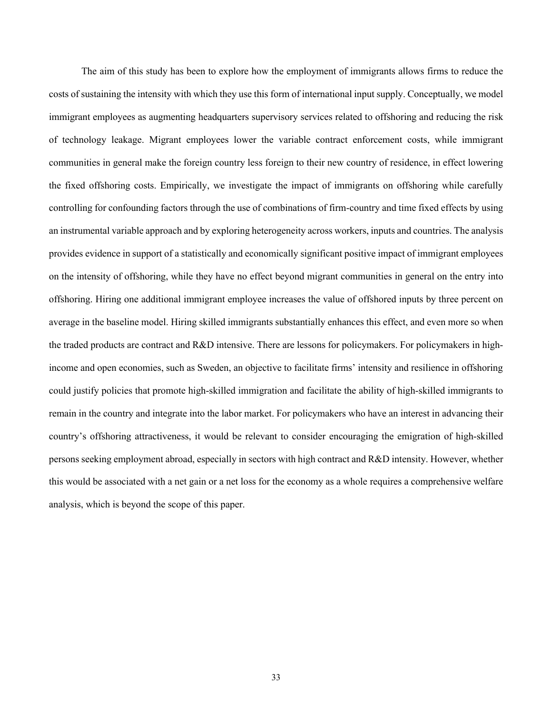The aim of this study has been to explore how the employment of immigrants allows firms to reduce the costs of sustaining the intensity with which they use this form of international input supply. Conceptually, we model immigrant employees as augmenting headquarters supervisory services related to offshoring and reducing the risk of technology leakage. Migrant employees lower the variable contract enforcement costs, while immigrant communities in general make the foreign country less foreign to their new country of residence, in effect lowering the fixed offshoring costs. Empirically, we investigate the impact of immigrants on offshoring while carefully controlling for confounding factors through the use of combinations of firm-country and time fixed effects by using an instrumental variable approach and by exploring heterogeneity across workers, inputs and countries. The analysis provides evidence in support of a statistically and economically significant positive impact of immigrant employees on the intensity of offshoring, while they have no effect beyond migrant communities in general on the entry into offshoring. Hiring one additional immigrant employee increases the value of offshored inputs by three percent on average in the baseline model. Hiring skilled immigrants substantially enhances this effect, and even more so when the traded products are contract and R&D intensive. There are lessons for policymakers. For policymakers in highincome and open economies, such as Sweden, an objective to facilitate firms' intensity and resilience in offshoring could justify policies that promote high-skilled immigration and facilitate the ability of high-skilled immigrants to remain in the country and integrate into the labor market. For policymakers who have an interest in advancing their country's offshoring attractiveness, it would be relevant to consider encouraging the emigration of high-skilled persons seeking employment abroad, especially in sectors with high contract and R&D intensity. However, whether this would be associated with a net gain or a net loss for the economy as a whole requires a comprehensive welfare analysis, which is beyond the scope of this paper.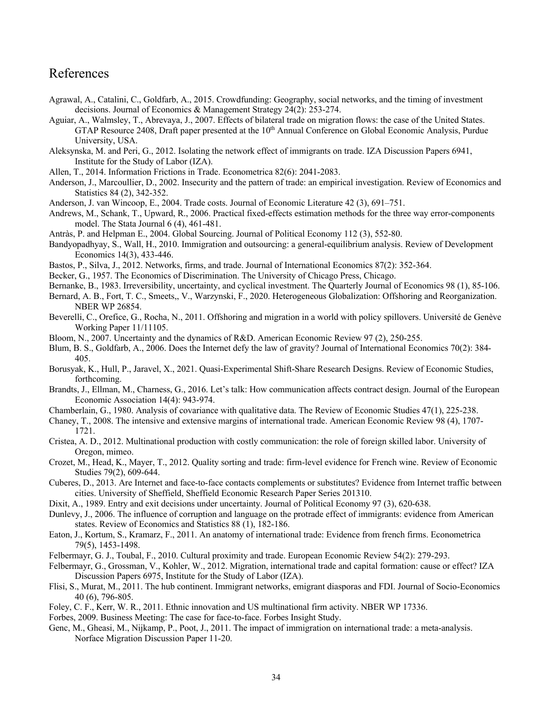# References

- Agrawal, A., Catalini, C., Goldfarb, A., 2015. Crowdfunding: Geography, social networks, and the timing of investment decisions. Journal of Economics & Management Strategy 24(2): 253-274.
- Aguiar, A., Walmsley, T., Abrevaya, J., 2007. Effects of bilateral trade on migration flows: the case of the United States. GTAP Resource 2408, Draft paper presented at the  $10<sup>th</sup>$  Annual Conference on Global Economic Analysis, Purdue University, USA.
- Aleksynska, M. and Peri, G., 2012. Isolating the network effect of immigrants on trade. IZA Discussion Papers 6941, Institute for the Study of Labor (IZA).
- Allen, T., 2014. Information Frictions in Trade. Econometrica 82(6): 2041-2083.
- Anderson, J., Marcoullier, D., 2002. Insecurity and the pattern of trade: an empirical investigation. Review of Economics and Statistics 84 (2), 342-352.
- Anderson, J. van Wincoop, E., 2004. Trade costs. Journal of Economic Literature 42 (3), 691–751.
- Andrews, M., Schank, T., Upward, R., 2006. Practical fixed-effects estimation methods for the three way error-components model. The Stata Journal 6 (4), 461-481.
- Antràs, P. and Helpman E., 2004. Global Sourcing. Journal of Political Economy 112 (3), 552-80.
- Bandyopadhyay, S., Wall, H., 2010. Immigration and outsourcing: a general-equilibrium analysis. Review of Development Economics 14(3), 433-446.
- Bastos, P., Silva, J., 2012. Networks, firms, and trade. Journal of International Economics 87(2): 352-364.
- Becker, G., 1957. The Economics of Discrimination. The University of Chicago Press, Chicago.
- Bernanke, B., 1983. Irreversibility, uncertainty, and cyclical investment. The Quarterly Journal of Economics 98 (1), 85-106.
- Bernard, A. B., Fort, T. C., Smeets,, V., Warzynski, F., 2020. Heterogeneous Globalization: Offshoring and Reorganization. NBER WP 26854.
- Beverelli, C., Orefice, G., Rocha, N., 2011. Offshoring and migration in a world with policy spillovers. Université de Genève Working Paper 11/11105.
- Bloom, N., 2007. Uncertainty and the dynamics of R&D. American Economic Review 97 (2), 250-255.
- Blum, B. S., Goldfarb, A., 2006. Does the Internet defy the law of gravity? Journal of International Economics 70(2): 384- 405.
- Borusyak, K., Hull, P., Jaravel, X., 2021. Quasi-Experimental Shift-Share Research Designs. Review of Economic Studies, forthcoming.
- Brandts, J., Ellman, M., Charness, G., 2016. Let's talk: How communication affects contract design. Journal of the European Economic Association 14(4): 943-974.
- Chamberlain, G., 1980. Analysis of covariance with qualitative data. The Review of Economic Studies 47(1), 225-238.
- Chaney, T., 2008. The intensive and extensive margins of international trade. American Economic Review 98 (4), 1707- 1721.
- Cristea, A. D., 2012. Multinational production with costly communication: the role of foreign skilled labor. University of Oregon, mimeo.
- Crozet, M., Head, K., Mayer, T., 2012. Quality sorting and trade: firm-level evidence for French wine. Review of Economic Studies 79(2), 609-644.
- Cuberes, D., 2013. Are Internet and face-to-face contacts complements or substitutes? Evidence from Internet traffic between cities. University of Sheffield, Sheffield Economic Research Paper Series 201310.
- Dixit, A., 1989. Entry and exit decisions under uncertainty. Journal of Political Economy 97 (3), 620-638.
- Dunlevy, J., 2006. The influence of corruption and language on the protrade effect of immigrants: evidence from American states. Review of Economics and Statistics 88 (1), 182-186.
- Eaton, J., Kortum, S., Kramarz, F., 2011. An anatomy of international trade: Evidence from french firms. Econometrica 79(5), 1453-1498.
- Felbermayr, G. J., Toubal, F., 2010. Cultural proximity and trade. European Economic Review 54(2): 279-293.
- Felbermayr, G., Grossman, V., Kohler, W., 2012. Migration, international trade and capital formation: cause or effect? IZA Discussion Papers 6975, Institute for the Study of Labor (IZA).
- Flisi, S., Murat, M., 2011. The hub continent. Immigrant networks, emigrant diasporas and FDI. Journal of Socio-Economics 40 (6), 796-805.
- Foley, C. F., Kerr, W. R., 2011. Ethnic innovation and US multinational firm activity. NBER WP 17336.
- Forbes, 2009. Business Meeting: The case for face-to-face. Forbes Insight Study.
- Genc, M., Gheasi, M., Nijkamp, P., Poot, J., 2011. The impact of immigration on international trade: a meta-analysis. Norface Migration Discussion Paper 11-20.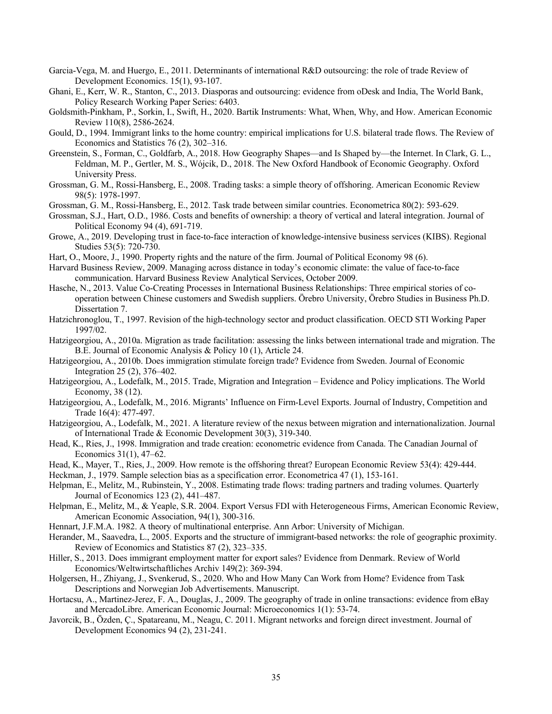- Garcia-Vega, M. and Huergo, E., 2011. Determinants of international R&D outsourcing: the role of trade Review of Development Economics. 15(1), 93-107.
- Ghani, E., Kerr, W. R., Stanton, C., 2013. Diasporas and outsourcing: evidence from oDesk and India, The World Bank, Policy Research Working Paper Series: 6403.
- Goldsmith-Pinkham, P., Sorkin, I., Swift, H., 2020. Bartik Instruments: What, When, Why, and How. American Economic Review 110(8), 2586-2624.
- Gould, D., 1994. Immigrant links to the home country: empirical implications for U.S. bilateral trade flows. The Review of Economics and Statistics 76 (2), 302–316.
- Greenstein, S., Forman, C., Goldfarb, A., 2018. How Geography Shapes—and Is Shaped by—the Internet. In Clark, G. L., Feldman, M. P., Gertler, M. S., Wójcik, D., 2018. The New Oxford Handbook of Economic Geography. Oxford University Press.
- Grossman, G. M., Rossi-Hansberg, E., 2008. Trading tasks: a simple theory of offshoring. American Economic Review 98(5): 1978-1997.
- Grossman, G. M., Rossi-Hansberg, E., 2012. Task trade between similar countries. Econometrica 80(2): 593-629.
- Grossman, S.J., Hart, O.D., 1986. Costs and benefits of ownership: a theory of vertical and lateral integration. Journal of Political Economy 94 (4), 691-719.
- Growe, A., 2019. Developing trust in face-to-face interaction of knowledge-intensive business services (KIBS). Regional Studies 53(5): 720-730.
- Hart, O., Moore, J., 1990. Property rights and the nature of the firm. Journal of Political Economy 98 (6).
- Harvard Business Review, 2009. Managing across distance in today's economic climate: the value of face-to-face communication. Harvard Business Review Analytical Services, October 2009.
- Hasche, N., 2013. Value Co-Creating Processes in International Business Relationships: Three empirical stories of cooperation between Chinese customers and Swedish suppliers. Örebro University, Örebro Studies in Business Ph.D. Dissertation 7.
- Hatzichronoglou, T., 1997. Revision of the high-technology sector and product classification. OECD STI Working Paper 1997/02.
- Hatzigeorgiou, A., 2010a. Migration as trade facilitation: assessing the links between international trade and migration. The B.E. Journal of Economic Analysis & Policy 10 (1), Article 24.
- Hatzigeorgiou, A., 2010b. Does immigration stimulate foreign trade? Evidence from Sweden. Journal of Economic Integration 25 (2), 376–402.
- Hatzigeorgiou, A., Lodefalk, M., 2015. Trade, Migration and Integration Evidence and Policy implications. The World Economy, 38 (12).
- Hatzigeorgiou, A., Lodefalk, M., 2016. Migrants' Influence on Firm-Level Exports. Journal of Industry, Competition and Trade 16(4): 477-497.
- Hatzigeorgiou, A., Lodefalk, M., 2021. A literature review of the nexus between migration and internationalization. Journal of International Trade & Economic Development 30(3), 319-340.
- Head, K., Ries, J., 1998. Immigration and trade creation: econometric evidence from Canada. The Canadian Journal of Economics 31(1), 47–62.
- Head, K., Mayer, T., Ries, J., 2009. How remote is the offshoring threat? European Economic Review 53(4): 429-444.
- Heckman, J., 1979. Sample selection bias as a specification error. Econometrica 47 (1), 153-161.
- Helpman, E., Melitz, M., Rubinstein, Y., 2008. Estimating trade flows: trading partners and trading volumes. Quarterly Journal of Economics 123 (2), 441–487.
- Helpman, E., Melitz, M., & Yeaple, S.R. 2004. Export Versus FDI with Heterogeneous Firms, American Economic Review, American Economic Association, 94(1), 300-316.
- Hennart, J.F.M.A. 1982. A theory of multinational enterprise. Ann Arbor: University of Michigan.
- Herander, M., Saavedra, L., 2005. Exports and the structure of immigrant-based networks: the role of geographic proximity. Review of Economics and Statistics 87 (2), 323–335.
- Hiller, S., 2013. Does immigrant employment matter for export sales? Evidence from Denmark. Review of World Economics/Weltwirtschaftliches Archiv 149(2): 369-394.
- Holgersen, H., Zhiyang, J., Svenkerud, S., 2020. Who and How Many Can Work from Home? Evidence from Task Descriptions and Norwegian Job Advertisements. Manuscript.
- Hortacsu, A., Martinez-Jerez, F. A., Douglas, J., 2009. The geography of trade in online transactions: evidence from eBay and MercadoLibre. American Economic Journal: Microeconomics 1(1): 53-74.
- Javorcik, B., Özden, Ç., Spatareanu, M., Neagu, C. 2011. Migrant networks and foreign direct investment. Journal of Development Economics 94 (2), 231-241.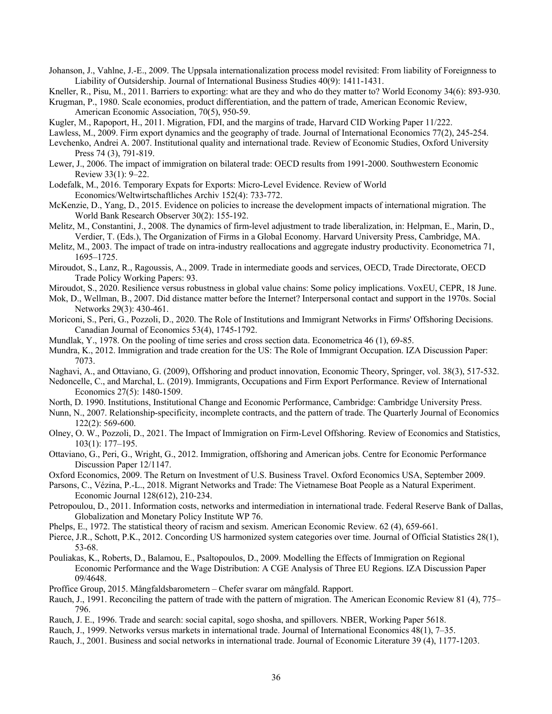Johanson, J., Vahlne, J.-E., 2009. The Uppsala internationalization process model revisited: From liability of Foreignness to Liability of Outsidership. Journal of International Business Studies 40(9): 1411-1431.

Kneller, R., Pisu, M., 2011. Barriers to exporting: what are they and who do they matter to? World Economy 34(6): 893-930.

Krugman, P., 1980. Scale economies, product differentiation, and the pattern of trade, American Economic Review, American Economic Association, 70(5), 950-59.

Kugler, M., Rapoport, H., 2011. Migration, FDI, and the margins of trade, Harvard CID Working Paper 11/222.

Lawless, M., 2009. Firm export dynamics and the geography of trade. Journal of International Economics 77(2), 245-254.

- Levchenko, Andrei A. 2007. Institutional quality and international trade. Review of Economic Studies, Oxford University Press 74 (3), 791-819.
- Lewer, J., 2006. The impact of immigration on bilateral trade: OECD results from 1991-2000. Southwestern Economic Review 33(1): 9–22.
- Lodefalk, M., 2016. Temporary Expats for Exports: Micro-Level Evidence. Review of World Economics/Weltwirtschaftliches Archiv 152(4): 733-772.
- McKenzie, D., Yang, D., 2015. Evidence on policies to increase the development impacts of international migration. The World Bank Research Observer 30(2): 155-192.
- Melitz, M., Constantini, J., 2008. The dynamics of firm-level adjustment to trade liberalization, in: Helpman, E., Marin, D., Verdier, T. (Eds.), The Organization of Firms in a Global Economy. Harvard University Press, Cambridge, MA.
- Melitz, M., 2003. The impact of trade on intra-industry reallocations and aggregate industry productivity. Econometrica 71, 1695–1725.
- Miroudot, S., Lanz, R., Ragoussis, A., 2009. Trade in intermediate goods and services, OECD, Trade Directorate, OECD Trade Policy Working Papers: 93.
- Miroudot, S., 2020. Resilience versus robustness in global value chains: Some policy implications. VoxEU, CEPR, 18 June.
- Mok, D., Wellman, B., 2007. Did distance matter before the Internet? Interpersonal contact and support in the 1970s. Social Networks 29(3): 430-461.
- Moriconi, S., Peri, G., Pozzoli, D., 2020. The Role of Institutions and Immigrant Networks in Firms' Offshoring Decisions. Canadian Journal of Economics 53(4), 1745-1792.
- Mundlak, Y., 1978. On the pooling of time series and cross section data. Econometrica 46 (1), 69-85.
- Mundra, K., 2012. Immigration and trade creation for the US: The Role of Immigrant Occupation. IZA Discussion Paper: 7073.
- Naghavi, A., and Ottaviano, G. (2009), Offshoring and product innovation, Economic Theory, Springer, vol. 38(3), 517-532.
- Nedoncelle, C., and Marchal, L. (2019). Immigrants, Occupations and Firm Export Performance. Review of International Economics 27(5): 1480-1509.
- North, D. 1990. Institutions, Institutional Change and Economic Performance, Cambridge: Cambridge University Press.
- Nunn, N., 2007. Relationship-specificity, incomplete contracts, and the pattern of trade. The Quarterly Journal of Economics 122(2): 569-600.
- Olney, O. W., Pozzoli, D., 2021. The Impact of Immigration on Firm-Level Offshoring. Review of Economics and Statistics, 103(1): 177–195.
- Ottaviano, G., Peri, G., Wright, G., 2012. Immigration, offshoring and American jobs. Centre for Economic Performance Discussion Paper 12/1147.
- Oxford Economics, 2009. The Return on Investment of U.S. Business Travel. Oxford Economics USA, September 2009.
- Parsons, C., Vézina, P.-L., 2018. Migrant Networks and Trade: The Vietnamese Boat People as a Natural Experiment. Economic Journal 128(612), 210-234.
- Petropoulou, D., 2011. Information costs, networks and intermediation in international trade. Federal Reserve Bank of Dallas, Globalization and Monetary Policy Institute WP 76.
- Phelps, E., 1972. The statistical theory of racism and sexism. American Economic Review. 62 (4), 659-661.
- Pierce, J.R., Schott, P.K., 2012. Concording US harmonized system categories over time. Journal of Official Statistics 28(1), 53-68.
- Pouliakas, K., Roberts, D., Balamou, E., Psaltopoulos, D., 2009. Modelling the Effects of Immigration on Regional Economic Performance and the Wage Distribution: A CGE Analysis of Three EU Regions. IZA Discussion Paper 09/4648.
- Proffice Group, 2015. Mångfaldsbarometern Chefer svarar om mångfald. Rapport.
- Rauch, J., 1991. Reconciling the pattern of trade with the pattern of migration. The American Economic Review 81 (4), 775– 796.
- Rauch, J. E., 1996. Trade and search: social capital, sogo shosha, and spillovers. NBER, Working Paper 5618.
- Rauch, J., 1999. Networks versus markets in international trade. Journal of International Economics 48(1), 7–35.
- Rauch, J., 2001. Business and social networks in international trade. Journal of Economic Literature 39 (4), 1177-1203.